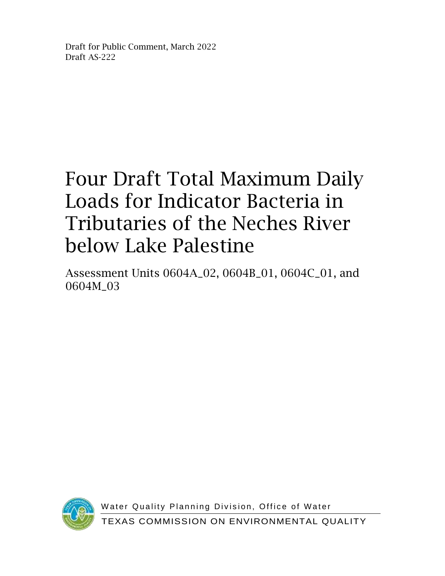Draft for Public Comment, March 2022 Draft AS-222

## Four Draft Total Maximum Daily Loads for Indicator Bacteria in Tributaries of the Neches River below Lake Palestine

Assessment Units 0604A\_02, 0604B\_01, 0604C\_01, and 0604M\_03



Water Quality Planning Division, Office of Water TEXAS COMMISSION ON ENVIRONMENTAL QUALITY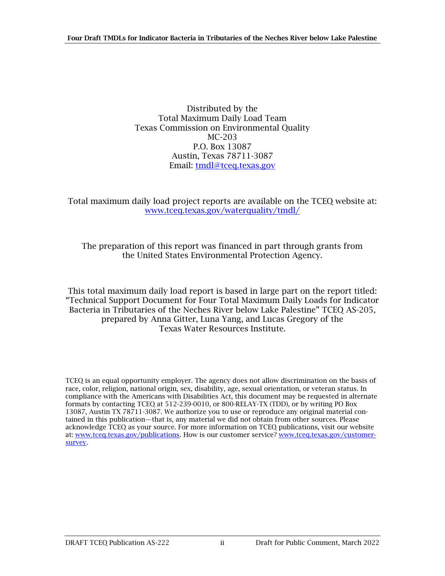Distributed by the Total Maximum Daily Load Team Texas Commission on Environmental Quality MC-203 P.O. Box 13087 Austin, Texas 78711-3087 Email: [tmdl@tceq.texas.gov](mailto:tmdl@tceq.texas.gov)

Total maximum daily load project reports are available on the TCEQ website at: [www.tceq.texas.gov/waterquality/tmdl/](http://www.tceq.texas.gov/waterquality/tmdl/)

The preparation of this report was financed in part through grants from the United States Environmental Protection Agency.

This total maximum daily load report is based in large part on the report titled: "Technical Support Document for Four Total Maximum Daily Loads for Indicator Bacteria in Tributaries of the Neches River below Lake Palestine" TCEQ AS-205, prepared by Anna Gitter, Luna Yang, and Lucas Gregory of the Texas Water Resources Institute.

TCEQ is an equal opportunity employer. The agency does not allow discrimination on the basis of race, color, religion, national origin, sex, disability, age, sexual orientation, or veteran status. In compliance with the Americans with Disabilities Act, this document may be requested in alternate formats by contacting TCEQ at 512-239-0010, or 800-RELAY-TX (TDD), or by writing PO Box 13087, Austin TX 78711-3087. We authorize you to use or reproduce any original material contained in this publication—that is, any material we did not obtain from other sources. Please acknowledge TCEQ as your source. For more information on TCEQ publications, visit our website at: [www.tceq.texas.gov/publications.](https://wwwtceq.texas.gov/publications) How is our customer service[? www.tceq.texas.gov/customer](https://www.tceq.texas.gov/assets/public/waterquality/tmdl/29tidalstreams/29-tidaluses.pdf)[survey.](https://www.tceq.texas.gov/assets/public/waterquality/tmdl/29tidalstreams/29-tidaluses.pdf)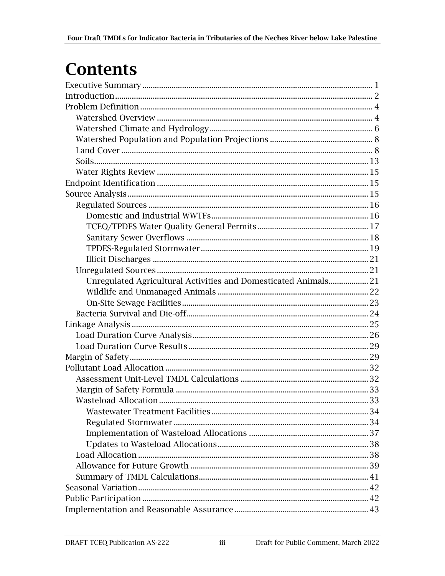## **Contents**

| Unregulated Agricultural Activities and Domesticated Animals 21 |  |
|-----------------------------------------------------------------|--|
|                                                                 |  |
|                                                                 |  |
|                                                                 |  |
|                                                                 |  |
|                                                                 |  |
|                                                                 |  |
|                                                                 |  |
|                                                                 |  |
|                                                                 |  |
|                                                                 |  |
|                                                                 |  |
|                                                                 |  |
|                                                                 |  |
|                                                                 |  |
|                                                                 |  |
|                                                                 |  |
|                                                                 |  |
|                                                                 |  |
|                                                                 |  |
|                                                                 |  |
|                                                                 |  |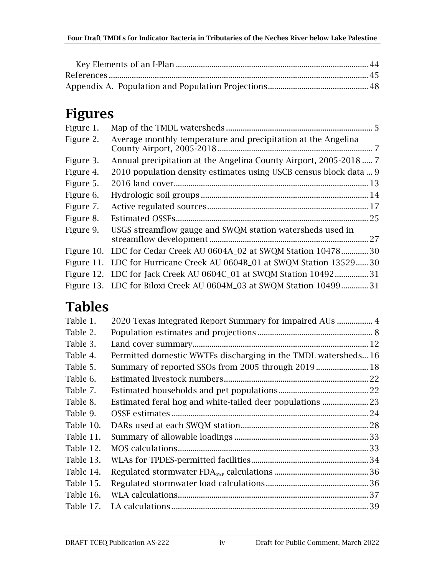### Figures

| Figure 1. |                                                                       |    |
|-----------|-----------------------------------------------------------------------|----|
| Figure 2. | Average monthly temperature and precipitation at the Angelina         |    |
| Figure 3. | Annual precipitation at the Angelina County Airport, 2005-2018  7     |    |
| Figure 4. | 2010 population density estimates using USCB census block data  9     |    |
| Figure 5. |                                                                       |    |
| Figure 6. |                                                                       |    |
| Figure 7. |                                                                       |    |
| Figure 8. | .25                                                                   |    |
| Figure 9. | USGS streamflow gauge and SWQM station watersheds used in             | 27 |
|           | Figure 10. LDC for Cedar Creek AU 0604A_02 at SWQM Station 10478      | 30 |
|           | Figure 11. LDC for Hurricane Creek AU 0604B_01 at SWQM Station 13529  | 30 |
|           | Figure 12. LDC for Jack Creek AU 0604C_01 at SWQM Station 10492<br>31 |    |
|           | Figure 13. LDC for Biloxi Creek AU 0604M_03 at SWQM Station 1049931   |    |
|           |                                                                       |    |

### Tables

| Permitted domestic WWTFs discharging in the TMDL watersheds16 |  |
|---------------------------------------------------------------|--|
|                                                               |  |
|                                                               |  |
|                                                               |  |
| Estimated feral hog and white-tailed deer populations  23     |  |
|                                                               |  |
|                                                               |  |
|                                                               |  |
|                                                               |  |
|                                                               |  |
|                                                               |  |
|                                                               |  |
|                                                               |  |
|                                                               |  |
|                                                               |  |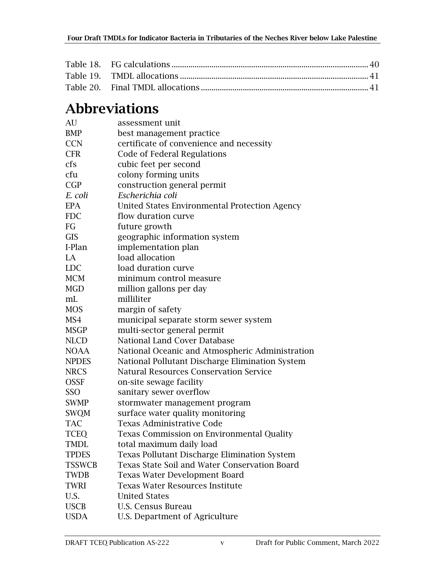#### Abbreviations

| AU            | assessment unit                                      |
|---------------|------------------------------------------------------|
| <b>BMP</b>    | best management practice                             |
| <b>CCN</b>    | certificate of convenience and necessity             |
| <b>CFR</b>    | Code of Federal Regulations                          |
| cfs           | cubic feet per second                                |
| cfu           | colony forming units                                 |
| CGP           | construction general permit                          |
| E. coli       | Escherichia coli                                     |
| <b>EPA</b>    | United States Environmental Protection Agency        |
| <b>FDC</b>    | flow duration curve                                  |
| FG            | future growth                                        |
| <b>GIS</b>    | geographic information system                        |
| I-Plan        | implementation plan                                  |
| LA            | load allocation                                      |
| <b>LDC</b>    | load duration curve                                  |
| <b>MCM</b>    | minimum control measure                              |
| <b>MGD</b>    | million gallons per day                              |
| mL            | milliliter                                           |
| <b>MOS</b>    | margin of safety                                     |
| MS4           | municipal separate storm sewer system                |
| <b>MSGP</b>   | multi-sector general permit                          |
| <b>NLCD</b>   | <b>National Land Cover Database</b>                  |
| <b>NOAA</b>   | National Oceanic and Atmospheric Administration      |
| <b>NPDES</b>  | National Pollutant Discharge Elimination System      |
| <b>NRCS</b>   | <b>Natural Resources Conservation Service</b>        |
| <b>OSSF</b>   | on-site sewage facility                              |
| SSO           | sanitary sewer overflow                              |
| <b>SWMP</b>   | stormwater management program                        |
| <b>SWQM</b>   | surface water quality monitoring                     |
| <b>TAC</b>    | <b>Texas Administrative Code</b>                     |
| <b>TCEQ</b>   | Texas Commission on Environmental Quality            |
| <b>TMDL</b>   | total maximum daily load                             |
| <b>TPDES</b>  | <b>Texas Pollutant Discharge Elimination System</b>  |
| <b>TSSWCB</b> | <b>Texas State Soil and Water Conservation Board</b> |
| <b>TWDB</b>   | <b>Texas Water Development Board</b>                 |
| <b>TWRI</b>   | <b>Texas Water Resources Institute</b>               |
| U.S.          | <b>United States</b>                                 |
| <b>USCB</b>   | U.S. Census Bureau                                   |
| <b>USDA</b>   | U.S. Department of Agriculture                       |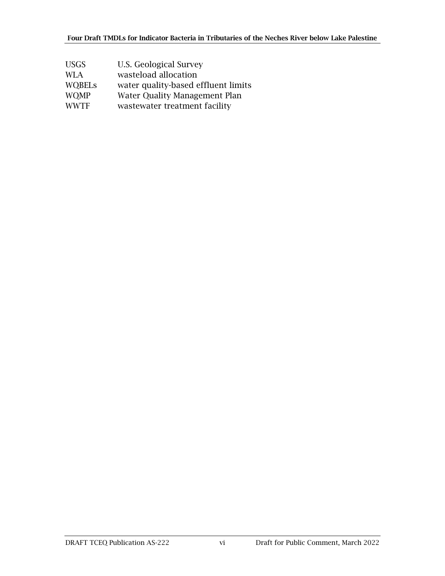| <b>USGS</b>   | U.S. Geological Survey               |
|---------------|--------------------------------------|
| WLA.          | wasteload allocation                 |
| <b>WOBELS</b> | water quality-based effluent limits  |
| <b>WOMP</b>   | <b>Water Quality Management Plan</b> |
| <b>WWTF</b>   | wastewater treatment facility        |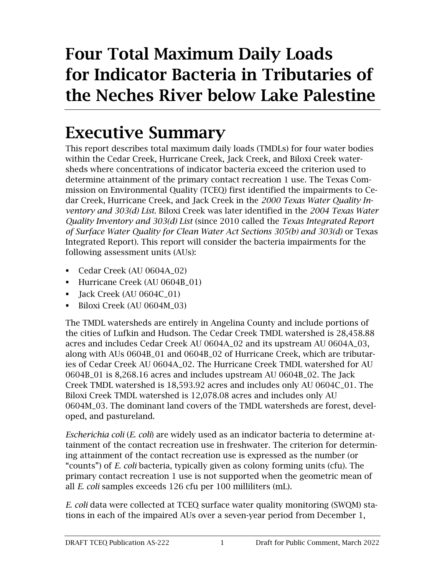## Four Total Maximum Daily Loads for Indicator Bacteria in Tributaries of the Neches River below Lake Palestine

## <span id="page-6-0"></span>Executive Summary

This report describes total maximum daily loads (TMDLs) for four water bodies within the Cedar Creek, Hurricane Creek, Jack Creek, and Biloxi Creek watersheds where concentrations of indicator bacteria exceed the criterion used to determine attainment of the primary contact recreation 1 use. The Texas Commission on Environmental Quality (TCEQ) first identified the impairments to Cedar Creek, Hurricane Creek, and Jack Creek in the *2000 Texas Water Quality Inventory and 303(d) List*. Biloxi Creek was later identified in the *2004 Texas Water Quality Inventory and 303(d) List* (since 2010 called the *Texas Integrated Report of Surface Water Quality for Clean Water Act Sections 305(b) and 303(d)* or Texas Integrated Report). This report will consider the bacteria impairments for the following assessment units (AUs):

- Cedar Creek (AU 0604A\_02)
- **•** Hurricane Creek (AU 0604B\_01)
- **E** Jack Creek (AU 0604C\_01)
- Biloxi Creek (AU 0604M\_03)

The TMDL watersheds are entirely in Angelina County and include portions of the cities of Lufkin and Hudson. The Cedar Creek TMDL watershed is 28,458.88 acres and includes Cedar Creek AU 0604A\_02 and its upstream AU 0604A\_03, along with AUs 0604B\_01 and 0604B\_02 of Hurricane Creek, which are tributaries of Cedar Creek AU 0604A\_02. The Hurricane Creek TMDL watershed for AU 0604B\_01 is 8,268.16 acres and includes upstream AU 0604B\_02. The Jack Creek TMDL watershed is 18,593.92 acres and includes only AU 0604C\_01. The Biloxi Creek TMDL watershed is 12,078.08 acres and includes only AU 0604M\_03. The dominant land covers of the TMDL watersheds are forest, developed, and pastureland.

*Escherichia coli* (*E. coli*) are widely used as an indicator bacteria to determine attainment of the contact recreation use in freshwater. The criterion for determining attainment of the contact recreation use is expressed as the number (or "counts") of *E. coli* bacteria, typically given as colony forming units (cfu). The primary contact recreation 1 use is not supported when the geometric mean of all *E. coli* samples exceeds 126 cfu per 100 milliliters (mL).

*E. coli* data were collected at TCEQ surface water quality monitoring (SWQM) stations in each of the impaired AUs over a seven-year period from December 1,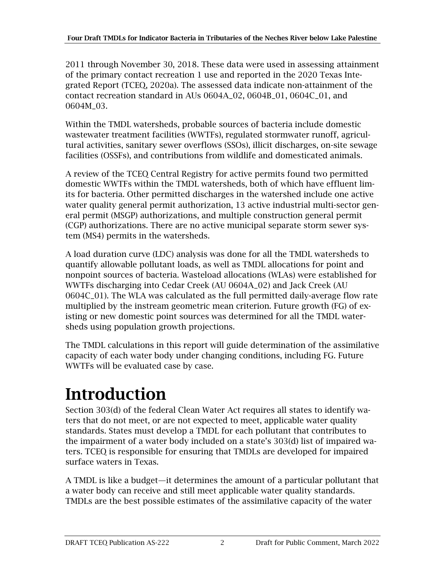2011 through November 30, 2018. These data were used in assessing attainment of the primary contact recreation 1 use and reported in the 2020 Texas Integrated Report (TCEQ, 2020a). The assessed data indicate non-attainment of the contact recreation standard in AUs 0604A\_02, 0604B\_01, 0604C\_01, and 0604M\_03.

Within the TMDL watersheds, probable sources of bacteria include domestic wastewater treatment facilities (WWTFs), regulated stormwater runoff, agricultural activities, sanitary sewer overflows (SSOs), illicit discharges, on-site sewage facilities (OSSFs), and contributions from wildlife and domesticated animals.

A review of the TCEQ Central Registry for active permits found two permitted domestic WWTFs within the TMDL watersheds, both of which have effluent limits for bacteria. Other permitted discharges in the watershed include one active water quality general permit authorization, 13 active industrial multi-sector general permit (MSGP) authorizations, and multiple construction general permit (CGP) authorizations. There are no active municipal separate storm sewer system (MS4) permits in the watersheds.

A load duration curve (LDC) analysis was done for all the TMDL watersheds to quantify allowable pollutant loads, as well as TMDL allocations for point and nonpoint sources of bacteria. Wasteload allocations (WLAs) were established for WWTFs discharging into Cedar Creek (AU 0604A\_02) and Jack Creek (AU 0604C\_01). The WLA was calculated as the full permitted daily-average flow rate multiplied by the instream geometric mean criterion. Future growth (FG) of existing or new domestic point sources was determined for all the TMDL watersheds using population growth projections.

The TMDL calculations in this report will guide determination of the assimilative capacity of each water body under changing conditions, including FG. Future WWTFs will be evaluated case by case.

## <span id="page-7-0"></span>Introduction

Section 303(d) of the federal Clean Water Act requires all states to identify waters that do not meet, or are not expected to meet, applicable water quality standards. States must develop a TMDL for each pollutant that contributes to the impairment of a water body included on a state's 303(d) list of impaired waters. TCEQ is responsible for ensuring that TMDLs are developed for impaired surface waters in Texas.

A TMDL is like a budget—it determines the amount of a particular pollutant that a water body can receive and still meet applicable water quality standards. TMDLs are the best possible estimates of the assimilative capacity of the water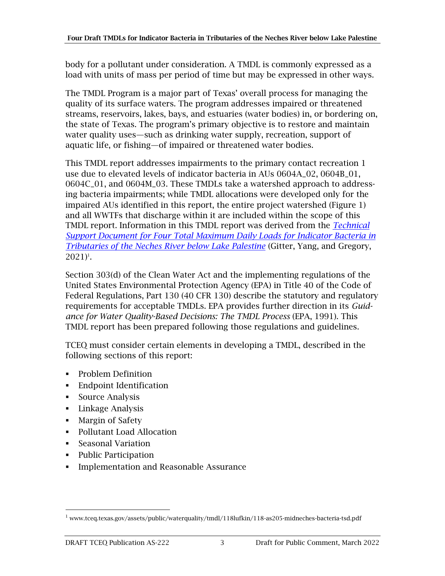body for a pollutant under consideration. A TMDL is commonly expressed as a load with units of mass per period of time but may be expressed in other ways.

The TMDL Program is a major part of Texas' overall process for managing the quality of its surface waters. The program addresses impaired or threatened streams, reservoirs, lakes, bays, and estuaries (water bodies) in, or bordering on, the state of Texas. The program's primary objective is to restore and maintain water quality uses—such as drinking water supply, recreation, support of aquatic life, or fishing—of impaired or threatened water bodies.

This TMDL report addresses impairments to the primary contact recreation 1 use due to elevated levels of indicator bacteria in AUs 0604A\_02, 0604B\_01, 0604C\_01, and 0604M\_03. These TMDLs take a watershed approach to addressing bacteria impairments; while TMDL allocations were developed only for the impaired AUs identified in this report, the entire project watershed [\(Figure 1\)](#page-10-0) and all WWTFs that discharge within it are included within the scope of this TMDL report. Information in this TMDL report was derived from the *[Technical](https://www.tceq.texas.gov/assets/public/waterquality/tmdl/118lufkin/118-as205-midneches-bacteria-tsd.pdf)  [Support Document for Four Total Maximum Daily Loads for Indicator Bacteria in](https://www.tceq.texas.gov/assets/public/waterquality/tmdl/118lufkin/118-as205-midneches-bacteria-tsd.pdf)  [Tributaries of the Neches River below Lake Palestine](https://www.tceq.texas.gov/assets/public/waterquality/tmdl/118lufkin/118-as205-midneches-bacteria-tsd.pdf)* (Gitter, Yang, and Gregory,  $2021$ <sup> $\text{ }$ 1.</sup>

Section 303(d) of the Clean Water Act and the implementing regulations of the United States Environmental Protection Agency (EPA) in Title 40 of the Code of Federal Regulations, Part 130 (40 CFR 130) describe the statutory and regulatory requirements for acceptable TMDLs. EPA provides further direction in its *Guidance for Water Quality-Based Decisions: The TMDL Process* (EPA, 1991). This TMDL report has been prepared following those regulations and guidelines.

TCEQ must consider certain elements in developing a TMDL, described in the following sections of this report:

- Problem Definition
- **•** Endpoint Identification
- Source Analysis
- Linkage Analysis
- Margin of Safety
- Pollutant Load Allocation
- Seasonal Variation
- Public Participation
- **•** Implementation and Reasonable Assurance

<sup>1</sup> www.tceq.texas.gov/assets/public/waterquality/tmdl/118lufkin/118-as205-midneches-bacteria-tsd.pdf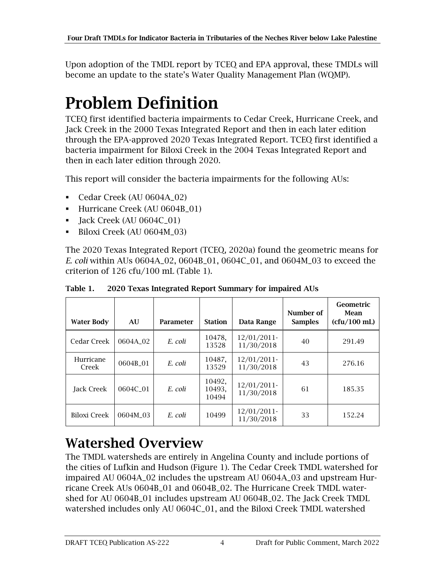Upon adoption of the TMDL report by TCEQ and EPA approval, these TMDLs will become an update to the state's Water Quality Management Plan (WQMP).

## <span id="page-9-0"></span>Problem Definition

TCEQ first identified bacteria impairments to Cedar Creek, Hurricane Creek, and Jack Creek in the 2000 Texas Integrated Report and then in each later edition through the EPA-approved 2020 Texas Integrated Report. TCEQ first identified a bacteria impairment for Biloxi Creek in the 2004 Texas Integrated Report and then in each later edition through 2020.

This report will consider the bacteria impairments for the following AUs:

- Cedar Creek (AU 0604A\_02)
- **•** Hurricane Creek (AU 0604B 01)
- **•** Jack Creek (AU 0604C\_01)
- Biloxi Creek (AU 0604M\_03)

The 2020 Texas Integrated Report (TCEQ, 2020a) found the geometric means for *E. coli* within AUs 0604A\_02, 0604B\_01, 0604C\_01, and 0604M\_03 to exceed the criterion of 126 cfu/100 mL [\(Table 1\)](#page-9-2).

| <b>Water Body</b>  | AU       | Parameter | <b>Station</b>            | Data Range                | Number of<br><b>Samples</b> | Geometric<br>Mean<br>(cfu/100 mL) |
|--------------------|----------|-----------|---------------------------|---------------------------|-----------------------------|-----------------------------------|
| Cedar Creek        | 0604A 02 | E. coli   | 10478.<br>13528           | 12/01/2011<br>11/30/2018  | 40                          | 291.49                            |
| Hurricane<br>Creek | 0604B_01 | E. coli   | 10487,<br>13529           | 12/01/2011<br>11/30/2018  | 43                          | 276.16                            |
| <b>Jack Creek</b>  | 0604C 01 | E. coli   | 10492.<br>10493.<br>10494 | 12/01/2011<br>11/30/2018  | 61                          | 185.35                            |
| Biloxi Creek       | 0604M 03 | E. coli   | 10499                     | 12/01/2011-<br>11/30/2018 | 33                          | 152.24                            |

<span id="page-9-2"></span>Table 1. 2020 Texas Integrated Report Summary for impaired AUs

### <span id="page-9-1"></span>Watershed Overview

The TMDL watersheds are entirely in Angelina County and include portions of the cities of Lufkin and Hudson [\(Figure 1\)](#page-10-0). The Cedar Creek TMDL watershed for impaired AU 0604A\_02 includes the upstream AU 0604A\_03 and upstream Hurricane Creek AUs 0604B\_01 and 0604B\_02. The Hurricane Creek TMDL watershed for AU 0604B\_01 includes upstream AU 0604B\_02. The Jack Creek TMDL watershed includes only AU 0604C\_01, and the Biloxi Creek TMDL watershed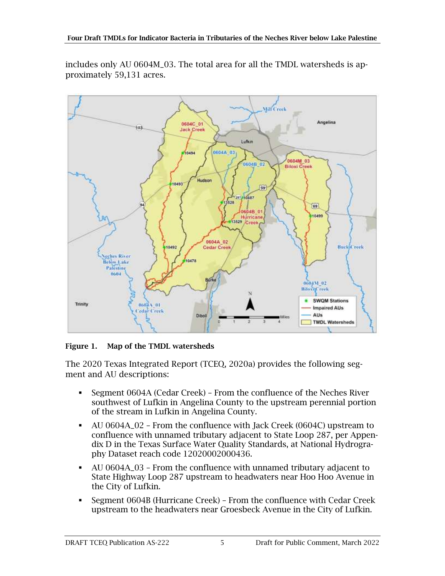includes only AU 0604M\_03. The total area for all the TMDL watersheds is approximately 59,131 acres.



<span id="page-10-0"></span>Figure 1. Map of the TMDL watersheds

The 2020 Texas Integrated Report (TCEQ, 2020a) provides the following segment and AU descriptions:

- Segment 0604A (Cedar Creek) From the confluence of the Neches River southwest of Lufkin in Angelina County to the upstream perennial portion of the stream in Lufkin in Angelina County.
- AU 0604A\_02 From the confluence with Jack Creek (0604C) upstream to confluence with unnamed tributary adjacent to State Loop 287, per Appendix D in the Texas Surface Water Quality Standards, at National Hydrography Dataset reach code 12020002000436.
- AU 0604A\_03 From the confluence with unnamed tributary adjacent to State Highway Loop 287 upstream to headwaters near Hoo Hoo Avenue in the City of Lufkin.
- Segment 0604B (Hurricane Creek) From the confluence with Cedar Creek upstream to the headwaters near Groesbeck Avenue in the City of Lufkin.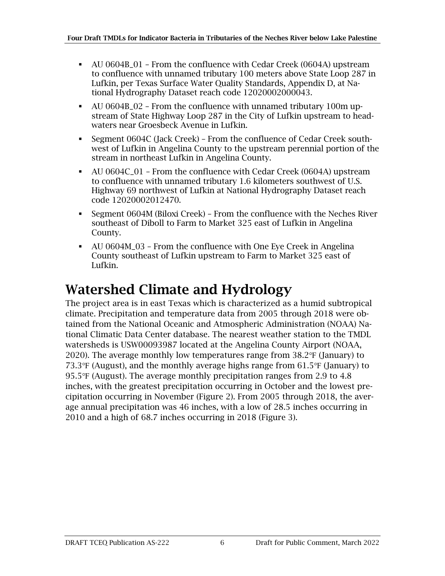- AU 0604B\_01 From the confluence with Cedar Creek (0604A) upstream to confluence with unnamed tributary 100 meters above State Loop 287 in Lufkin, per Texas Surface Water Quality Standards, Appendix D, at National Hydrography Dataset reach code 12020002000043.
- AU 0604B\_02 From the confluence with unnamed tributary 100m upstream of State Highway Loop 287 in the City of Lufkin upstream to headwaters near Groesbeck Avenue in Lufkin.
- Segment 0604C (Jack Creek) From the confluence of Cedar Creek southwest of Lufkin in Angelina County to the upstream perennial portion of the stream in northeast Lufkin in Angelina County.
- AU 0604C\_01 From the confluence with Cedar Creek (0604A) upstream to confluence with unnamed tributary 1.6 kilometers southwest of U.S. Highway 69 northwest of Lufkin at National Hydrography Dataset reach code 12020002012470.
- Segment 0604M (Biloxi Creek) From the confluence with the Neches River southeast of Diboll to Farm to Market 325 east of Lufkin in Angelina County.
- AU 0604M\_03 From the confluence with One Eye Creek in Angelina County southeast of Lufkin upstream to Farm to Market 325 east of Lufkin.

### <span id="page-11-0"></span>Watershed Climate and Hydrology

The project area is in east Texas which is characterized as a humid subtropical climate. Precipitation and temperature data from 2005 through 2018 were obtained from the National Oceanic and Atmospheric Administration (NOAA) National Climatic Data Center database. The nearest weather station to the TMDL watersheds is USW00093987 located at the Angelina County Airport (NOAA, 2020). The average monthly low temperatures range from 38.2℉ (January) to 73.3℉ (August), and the monthly average highs range from 61.5℉ (January) to 95.5℉ (August). The average monthly precipitation ranges from 2.9 to 4.8 inches, with the greatest precipitation occurring in October and the lowest precipitation occurring in November [\(Figure 2\)](#page-12-0). From 2005 through 2018, the average annual precipitation was 46 inches, with a low of 28.5 inches occurring in 2010 and a high of 68.7 inches occurring in 2018 [\(Figure 3\)](#page-12-1).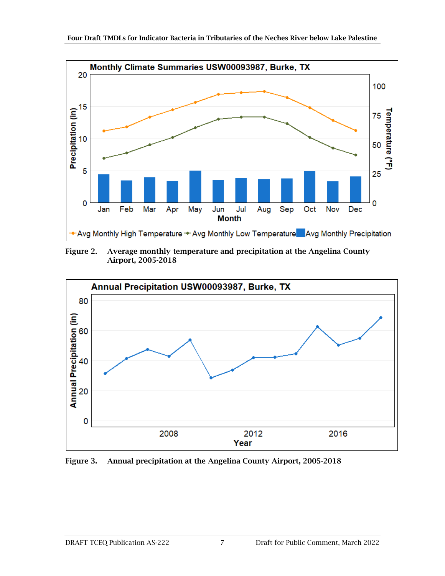

<span id="page-12-0"></span>Figure 2. Average monthly temperature and precipitation at the Angelina County Airport, 2005-2018



<span id="page-12-1"></span>Figure 3. Annual precipitation at the Angelina County Airport, 2005-2018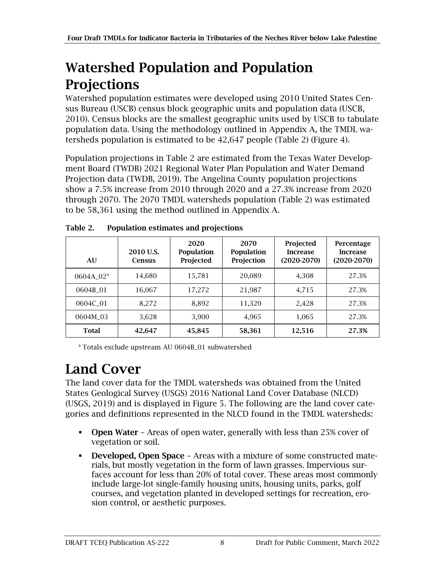### <span id="page-13-0"></span>Watershed Population and Population **Projections**

Watershed population estimates were developed using 2010 United States Census Bureau (USCB) census block geographic units and population data (USCB, 2010). Census blocks are the smallest geographic units used by USCB to tabulate population data. Using the methodology outlined in Appendix A, the TMDL watersheds population is estimated to be 42,647 people [\(Table 2\)](#page-13-2) [\(Figure 4\)](#page-14-0).

Population projections in Table 2 are estimated from the Texas Water Development Board (TWDB) 2021 Regional Water Plan Population and Water Demand Projection data (TWDB, 2019). The Angelina County population projections show a 7.5% increase from 2010 through 2020 and a 27.3% increase from 2020 through 2070. The 2070 TMDL watersheds population [\(Table 2\)](#page-13-2) was estimated to be 58,361 using the method outlined in Appendix A.

| AU            | 2010 U.S.<br><b>Census</b> | 2020<br><b>Population</b><br>Projected | 2070<br><b>Population</b><br>Projection | Projected<br><b>Increase</b><br>$(2020-2070)$ | Percentage<br><b>Increase</b><br>$(2020-2070)$ |
|---------------|----------------------------|----------------------------------------|-----------------------------------------|-----------------------------------------------|------------------------------------------------|
| $0604A$ $02a$ | 14,680                     | 15,781                                 | 20,089                                  | 4,308                                         | 27.3%                                          |
| 0604B 01      | 16,067                     | 17,272                                 | 21,987                                  | 4,715                                         | 27.3%                                          |
| 0604C 01      | 8,272                      | 8,892                                  | 11,320                                  | 2,428                                         | 27.3%                                          |
| 0604M 03      | 3,628                      | 3,900                                  | 4,965                                   | 1,065                                         | 27.3%                                          |
| <b>Total</b>  | 42.647                     | 45,845                                 | 58,361                                  | 12,516                                        | 27.3%                                          |

<span id="page-13-2"></span>Table 2. Population estimates and projections

<sup>a</sup> Totals exclude upstream AU 0604B\_01 subwatershed

## <span id="page-13-1"></span>Land Cover

The land cover data for the TMDL watersheds was obtained from the United States Geological Survey (USGS) 2016 National Land Cover Database (NLCD) (USGS, 2019) and is displayed in [Figure 5.](#page-18-1) The following are the land cover categories and definitions represented in the NLCD found in the TMDL watersheds:

- **Open Water** Areas of open water, generally with less than 25% cover of vegetation or soil.
- **Developed, Open Space Areas with a mixture of some constructed mate**rials, but mostly vegetation in the form of lawn grasses. Impervious surfaces account for less than 20% of total cover. These areas most commonly include large-lot single-family housing units, housing units, parks, golf courses, and vegetation planted in developed settings for recreation, erosion control, or aesthetic purposes.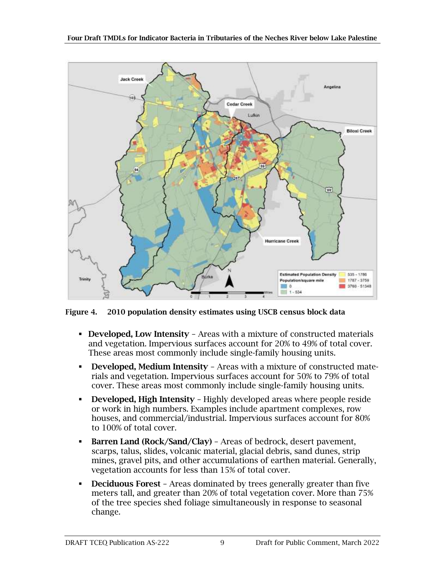

<span id="page-14-0"></span>Figure 4. 2010 population density estimates using USCB census block data

- **Developed, Low Intensity** Areas with a mixture of constructed materials and vegetation. Impervious surfaces account for 20% to 49% of total cover. These areas most commonly include single-family housing units.
- **Developed, Medium Intensity Areas with a mixture of constructed mate**rials and vegetation. Impervious surfaces account for 50% to 79% of total cover. These areas most commonly include single-family housing units.
- **Developed, High Intensity Highly developed areas where people reside** or work in high numbers. Examples include apartment complexes, row houses, and commercial/industrial. Impervious surfaces account for 80% to 100% of total cover.
- Barren Land (Rock/Sand/Clay) Areas of bedrock, desert pavement, scarps, talus, slides, volcanic material, glacial debris, sand dunes, strip mines, gravel pits, and other accumulations of earthen material. Generally, vegetation accounts for less than 15% of total cover.
- **Deciduous Forest** Areas dominated by trees generally greater than five meters tall, and greater than 20% of total vegetation cover. More than 75% of the tree species shed foliage simultaneously in response to seasonal change.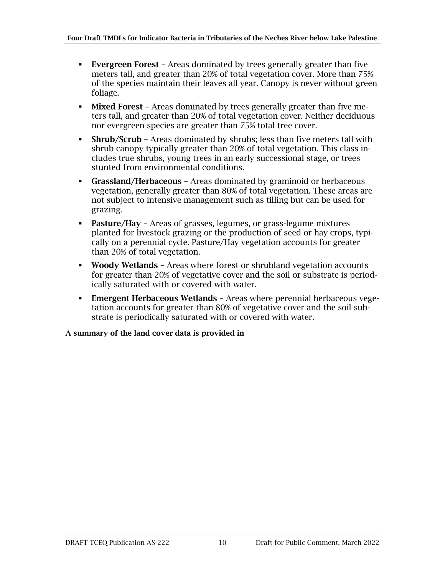- **Evergreen Forest** Areas dominated by trees generally greater than five meters tall, and greater than 20% of total vegetation cover. More than 75% of the species maintain their leaves all year. Canopy is never without green foliage.
- **EXECUTE:** Mixed Forest Areas dominated by trees generally greater than five meters tall, and greater than 20% of total vegetation cover. Neither deciduous nor evergreen species are greater than 75% total tree cover.
- **EXECTM** Areas dominated by shrubs; less than five meters tall with shrub canopy typically greater than 20% of total vegetation. This class includes true shrubs, young trees in an early successional stage, or trees stunted from environmental conditions.
- **Grassland/Herbaceous** Areas dominated by graminoid or herbaceous vegetation, generally greater than 80% of total vegetation. These areas are not subject to intensive management such as tilling but can be used for grazing.
- Pasture/Hay Areas of grasses, legumes, or grass-legume mixtures planted for livestock grazing or the production of seed or hay crops, typically on a perennial cycle. Pasture/Hay vegetation accounts for greater than 20% of total vegetation.
- **Woody Wetlands** Areas where forest or shrubland vegetation accounts for greater than 20% of vegetative cover and the soil or substrate is periodically saturated with or covered with water.
- **Emergent Herbaceous Wetlands** Areas where perennial herbaceous vegetation accounts for greater than 80% of vegetative cover and the soil substrate is periodically saturated with or covered with water.

A summary of the land cover data is provided in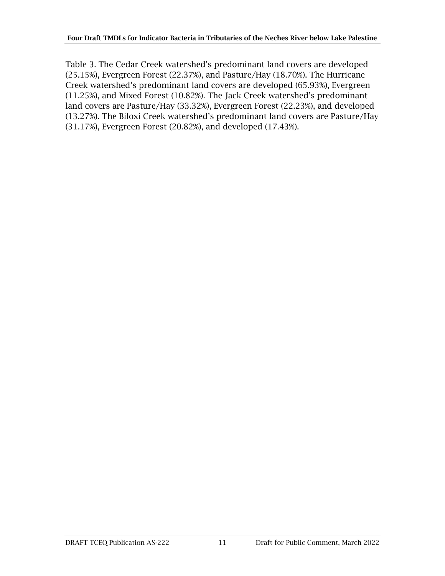<span id="page-16-0"></span>[Table 3.](#page-16-0) The Cedar Creek watershed's predominant land covers are developed (25.15%), Evergreen Forest (22.37%), and Pasture/Hay (18.70%). The Hurricane Creek watershed's predominant land covers are developed (65.93%), Evergreen (11.25%), and Mixed Forest (10.82%). The Jack Creek watershed's predominant land covers are Pasture/Hay (33.32%), Evergreen Forest (22.23%), and developed (13.27%). The Biloxi Creek watershed's predominant land covers are Pasture/Hay (31.17%), Evergreen Forest (20.82%), and developed (17.43%).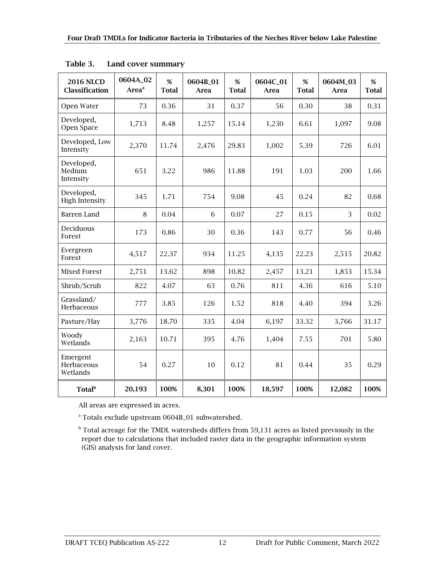| <b>2016 NLCD</b><br><b>Classification</b> | 0604A_02<br>Area <sup>a</sup> | $\%$<br><b>Total</b> | 0604B_01<br><b>Area</b> | %<br><b>Total</b> | 0604C_01<br><b>Area</b> | %<br><b>Total</b> | 0604M_03<br><b>Area</b> | %<br><b>Total</b> |
|-------------------------------------------|-------------------------------|----------------------|-------------------------|-------------------|-------------------------|-------------------|-------------------------|-------------------|
| Open Water                                | 73                            | 0.36                 | 31                      | 0.37              | 56                      | 0.30              | 38                      | 0.31              |
| Developed,<br>Open Space                  | 1,713                         | 8.48                 | 1,257                   | 15.14             | 1,230                   | 6.61              | 1,097                   | 9.08              |
| Developed, Low<br>Intensity               | 2,370                         | 11.74                | 2,476                   | 29.83             | 1,002                   | 5.39              | 726                     | 6.01              |
| Developed,<br>Medium<br>Intensity         | 651                           | 3.22                 | 986                     | 11.88             | 191                     | 1.03              | 200                     | 1.66              |
| Developed,<br><b>High Intensity</b>       | 345                           | 1.71                 | 754                     | 9.08              | 45                      | 0.24              | 82                      | 0.68              |
| Barren Land                               | 8                             | 0.04                 | 6                       | 0.07              | 27                      | 0.15              | 3                       | 0.02              |
| Deciduous<br>Forest                       | 173                           | 0.86                 | 30                      | 0.36              | 143                     | 0.77              | 56                      | 0.46              |
| Evergreen<br>Forest                       | 4,517                         | 22.37                | 934                     | 11.25             | 4,135                   | 22.23             | 2,515                   | 20.82             |
| <b>Mixed Forest</b>                       | 2,751                         | 13.62                | 898                     | 10.82             | 2,457                   | 13.21             | 1,853                   | 15.34             |
| Shrub/Scrub                               | 822                           | 4.07                 | 63                      | 0.76              | 811                     | 4.36              | 616                     | 5.10              |
| Grassland/<br>Herbaceous                  | 777                           | 3.85                 | 126                     | 1.52              | 818                     | 4.40              | 394                     | 3.26              |
| Pasture/Hay                               | 3,776                         | 18.70                | 335                     | 4.04              | 6,197                   | 33.32             | 3,766                   | 31.17             |
| Woody<br>Wetlands                         | 2,163                         | 10.71                | 395                     | 4.76              | 1,404                   | 7.55              | 701                     | 5.80              |
| Emergent<br>Herbaceous<br>Wetlands        | 54                            | 0.27                 | 10                      | 0.12              | 81                      | 0.44              | 35                      | 0.29              |
| <b>Total</b> <sup>b</sup>                 | 20,193                        | 100%                 | 8,301                   | 100%              | 18,597                  | 100%              | 12,082                  | 100%              |

<span id="page-17-0"></span>

All areas are expressed in acres.

<sup>a</sup> Totals exclude upstream 0604B\_01 subwatershed.

 $<sup>b</sup>$  Total acreage for the TMDL watersheds differs from 59,131 acres as listed previously in the</sup> report due to calculations that included raster data in the geographic information system (GIS) analysis for land cover.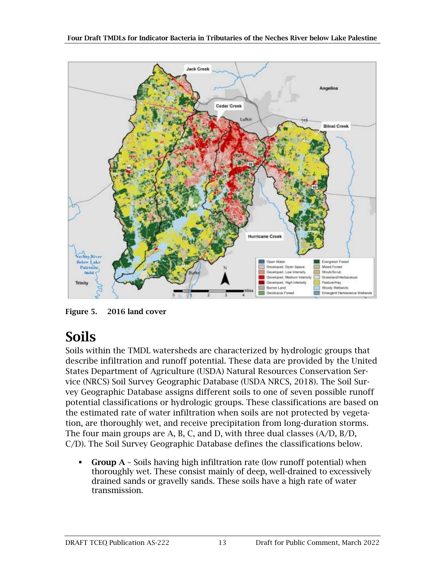

<span id="page-18-1"></span>Figure 5. 2016 land cover

### <span id="page-18-0"></span>Soils

Soils within the TMDL watersheds are characterized by hydrologic groups that describe infiltration and runoff potential. These data are provided by the United States Department of Agriculture (USDA) Natural Resources Conservation Service (NRCS) Soil Survey Geographic Database (USDA NRCS, 2018). The Soil Survey Geographic Database assigns different soils to one of seven possible runoff potential classifications or hydrologic groups. These classifications are based on the estimated rate of water infiltration when soils are not protected by vegetation, are thoroughly wet, and receive precipitation from long-duration storms. The four main groups are A, B, C, and D, with three dual classes (A/D, B/D, C/D). The Soil Survey Geographic Database defines the classifications below.

**• Group A** – Soils having high infiltration rate (low runoff potential) when thoroughly wet. These consist mainly of deep, well-drained to excessively drained sands or gravelly sands. These soils have a high rate of water transmission.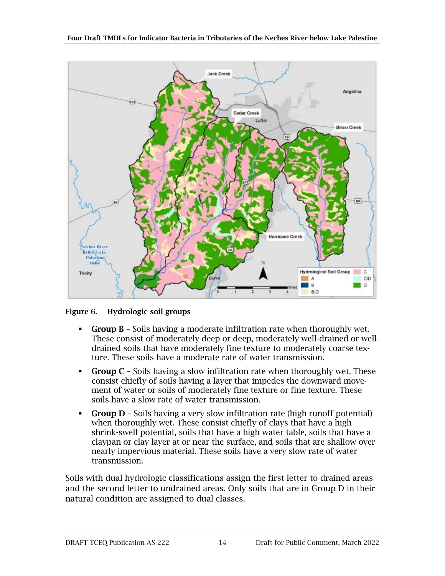

<span id="page-19-0"></span>Figure 6. Hydrologic soil groups

- Group B Soils having a moderate infiltration rate when thoroughly wet. These consist of moderately deep or deep, moderately well-drained or welldrained soils that have moderately fine texture to moderately coarse texture. These soils have a moderate rate of water transmission.
- **Group C** Soils having a slow infiltration rate when thoroughly wet. These consist chiefly of soils having a layer that impedes the downward movement of water or soils of moderately fine texture or fine texture. These soils have a slow rate of water transmission.
- Group D Soils having a very slow infiltration rate (high runoff potential) when thoroughly wet. These consist chiefly of clays that have a high shrink-swell potential, soils that have a high water table, soils that have a claypan or clay layer at or near the surface, and soils that are shallow over nearly impervious material. These soils have a very slow rate of water transmission.

Soils with dual hydrologic classifications assign the first letter to drained areas and the second letter to undrained areas. Only soils that are in Group D in their natural condition are assigned to dual classes.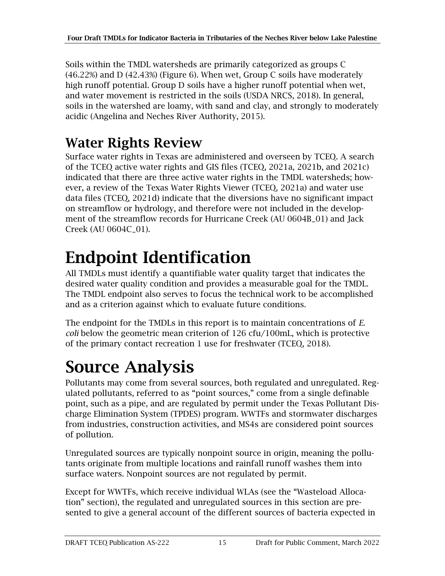Soils within the TMDL watersheds are primarily categorized as groups C (46.22%) and D (42.43%) (Figure 6). When wet, Group C soils have moderately high runoff potential. Group D soils have a higher runoff potential when wet, and water movement is restricted in the soils (USDA NRCS, 2018). In general, soils in the watershed are loamy, with sand and clay, and strongly to moderately acidic (Angelina and Neches River Authority, 2015).

### <span id="page-20-0"></span>Water Rights Review

Surface water rights in Texas are administered and overseen by TCEQ. A search of the TCEQ active water rights and GIS files (TCEQ, 2021a, 2021b, and 2021c) indicated that there are three active water rights in the TMDL watersheds; however, a review of the Texas Water Rights Viewer (TCEQ, 2021a) and water use data files (TCEQ, 2021d) indicate that the diversions have no significant impact on streamflow or hydrology, and therefore were not included in the development of the streamflow records for Hurricane Creek (AU 0604B\_01) and Jack Creek (AU 0604C\_01).

# <span id="page-20-1"></span>Endpoint Identification

All TMDLs must identify a quantifiable water quality target that indicates the desired water quality condition and provides a measurable goal for the TMDL. The TMDL endpoint also serves to focus the technical work to be accomplished and as a criterion against which to evaluate future conditions.

The endpoint for the TMDLs in this report is to maintain concentrations of *E. coli* below the geometric mean criterion of 126 cfu/100mL, which is protective of the primary contact recreation 1 use for freshwater (TCEQ, 2018).

## <span id="page-20-2"></span>Source Analysis

Pollutants may come from several sources, both regulated and unregulated. Regulated pollutants, referred to as "point sources," come from a single definable point, such as a pipe, and are regulated by permit under the Texas Pollutant Discharge Elimination System (TPDES) program. WWTFs and stormwater discharges from industries, construction activities, and MS4s are considered point sources of pollution.

Unregulated sources are typically nonpoint source in origin, meaning the pollutants originate from multiple locations and rainfall runoff washes them into surface waters. Nonpoint sources are not regulated by permit.

Except for WWTFs, which receive individual WLAs (see the "Wasteload Allocation" section), the regulated and unregulated sources in this section are presented to give a general account of the different sources of bacteria expected in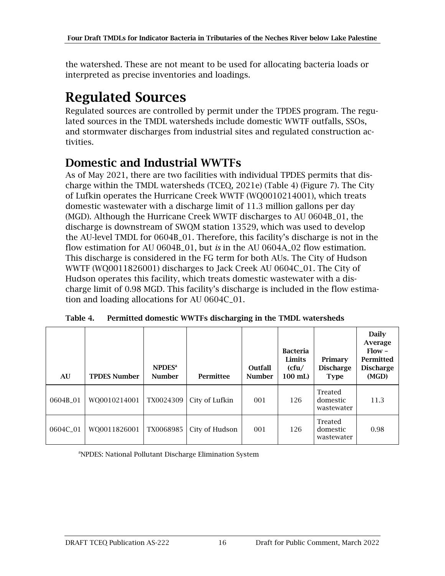the watershed. These are not meant to be used for allocating bacteria loads or interpreted as precise inventories and loadings.

### <span id="page-21-0"></span>Regulated Sources

Regulated sources are controlled by permit under the TPDES program. The regulated sources in the TMDL watersheds include domestic WWTF outfalls, SSOs, and stormwater discharges from industrial sites and regulated construction activities.

#### <span id="page-21-1"></span>Domestic and Industrial WWTFs

As of May 2021, there are two facilities with individual TPDES permits that discharge within the TMDL watersheds (TCEQ, 2021e) [\(Table 4\)](#page-21-2) [\(Figure 7\)](#page-22-1). The City of Lufkin operates the Hurricane Creek WWTF (WQ0010214001), which treats domestic wastewater with a discharge limit of 11.3 million gallons per day (MGD). Although the Hurricane Creek WWTF discharges to AU 0604B\_01, the discharge is downstream of SWQM station 13529, which was used to develop the AU-level TMDL for 0604B\_01. Therefore, this facility's discharge is not in the flow estimation for AU 0604B\_01, but *is* in the AU 0604A\_02 flow estimation. This discharge is considered in the FG term for both AUs. The City of Hudson WWTF (WQ0011826001) discharges to Jack Creek AU 0604C\_01. The City of Hudson operates this facility, which treats domestic wastewater with a discharge limit of 0.98 MGD. This facility's discharge is included in the flow estimation and loading allocations for AU 0604C\_01.

| AU       | <b>TPDES Number</b> | NPDFS <sup>a</sup><br><b>Number</b> | Permittee      | Outfall<br><b>Number</b> | <b>Bacteria</b><br>Limits<br>(cfu/<br>100 mL) | Primary<br><b>Discharge</b><br><b>Type</b> | Daily<br>Average<br>$Flow -$<br>Permitted<br><b>Discharge</b><br>(MGD) |
|----------|---------------------|-------------------------------------|----------------|--------------------------|-----------------------------------------------|--------------------------------------------|------------------------------------------------------------------------|
| 0604B 01 | WO0010214001        | TX0024309                           | City of Lufkin | 001                      | 126                                           | Treated<br>domestic<br>wastewater          | 11.3                                                                   |
| 0604C_01 | WQ0011826001        | TX0068985                           | City of Hudson | 001                      | 126                                           | Treated<br>domestic<br>wastewater          | 0.98                                                                   |

<span id="page-21-2"></span>Table 4. Permitted domestic WWTFs discharging in the TMDL watersheds

<sup>a</sup>NPDES: National Pollutant Discharge Elimination System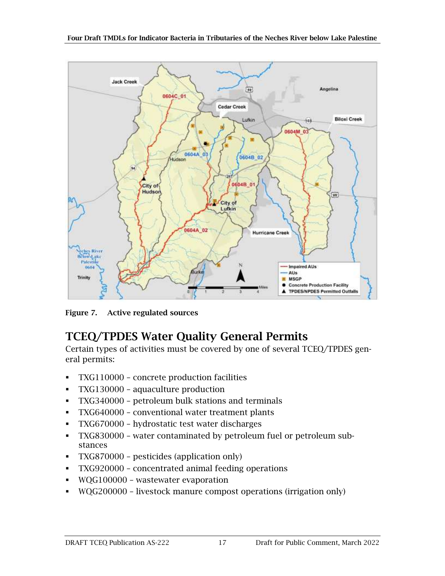

<span id="page-22-1"></span>Figure 7. Active regulated sources

#### <span id="page-22-0"></span>TCEQ/TPDES Water Quality General Permits

Certain types of activities must be covered by one of several TCEQ/TPDES general permits:

- TXG110000 concrete production facilities
- TXG130000 aquaculture production
- TXG340000 petroleum bulk stations and terminals
- TXG640000 conventional water treatment plants
- TXG670000 hydrostatic test water discharges
- TXG830000 water contaminated by petroleum fuel or petroleum substances
- TXG870000 pesticides (application only)
- TXG920000 concentrated animal feeding operations
- WQG100000 wastewater evaporation
- WQG200000 livestock manure compost operations (irrigation only)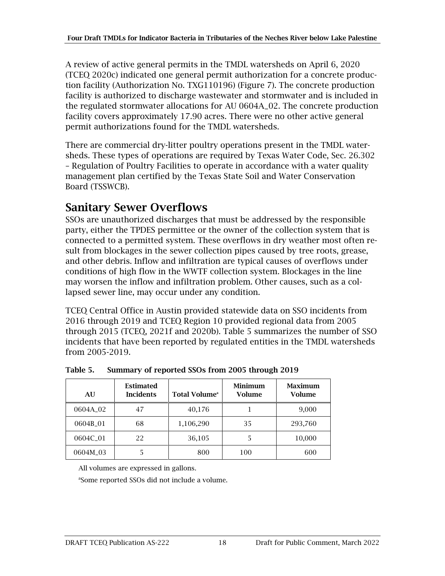A review of active general permits in the TMDL watersheds on April 6, 2020 (TCEQ 2020c) indicated one general permit authorization for a concrete production facility (Authorization No. TXG110196) [\(Figure 7\)](#page-22-1). The concrete production facility is authorized to discharge wastewater and stormwater and is included in the regulated stormwater allocations for AU 0604A\_02. The concrete production facility covers approximately 17.90 acres. There were no other active general permit authorizations found for the TMDL watersheds.

There are commercial dry-litter poultry operations present in the TMDL watersheds. These types of operations are required by Texas Water Code, Sec. 26.302 – Regulation of Poultry Facilities to operate in accordance with a water quality management plan certified by the Texas State Soil and Water Conservation Board (TSSWCB).

#### <span id="page-23-0"></span>Sanitary Sewer Overflows

SSOs are unauthorized discharges that must be addressed by the responsible party, either the TPDES permittee or the owner of the collection system that is connected to a permitted system. These overflows in dry weather most often result from blockages in the sewer collection pipes caused by tree roots, grease, and other debris. Inflow and infiltration are typical causes of overflows under conditions of high flow in the WWTF collection system. Blockages in the line may worsen the inflow and infiltration problem. Other causes, such as a collapsed sewer line, may occur under any condition.

TCEQ Central Office in Austin provided statewide data on SSO incidents from 2016 through 2019 and TCEQ Region 10 provided regional data from 2005 through 2015 (TCEQ, 2021f and 2020b). [Table 5](#page-23-1) summarizes the number of SSO incidents that have been reported by regulated entities in the TMDL watersheds from 2005-2019.

| AU                   | <b>Estimated</b><br><b>Incidents</b> | <b>Total Volume</b> <sup>a</sup> | Minimum<br><b>Volume</b> | Maximum<br><b>Volume</b> |
|----------------------|--------------------------------------|----------------------------------|--------------------------|--------------------------|
| 0604A <sub>-02</sub> | 47                                   | 40,176                           |                          | 9,000                    |
| 0604B_01             | 68                                   | 1,106,290                        | 35                       | 293,760                  |
| 0604C_01             | 22                                   | 36,105                           |                          | 10,000                   |
| 0604M 03             |                                      | 800                              | 100                      | 600                      |

<span id="page-23-1"></span>Table 5. Summary of reported SSOs from 2005 through 2019

All volumes are expressed in gallons.

a Some reported SSOs did not include a volume.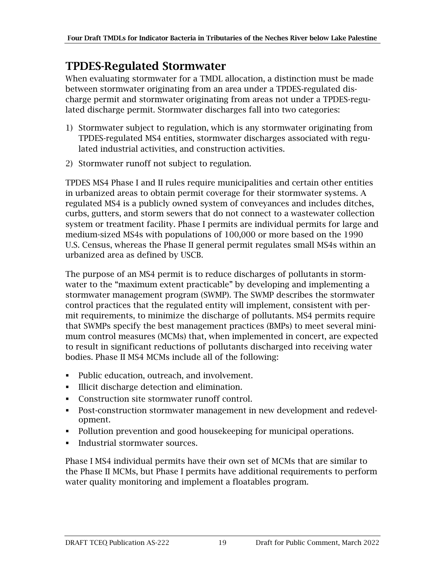#### <span id="page-24-0"></span>TPDES-Regulated Stormwater

When evaluating stormwater for a TMDL allocation, a distinction must be made between stormwater originating from an area under a TPDES-regulated discharge permit and stormwater originating from areas not under a TPDES-regulated discharge permit. Stormwater discharges fall into two categories:

- 1) Stormwater subject to regulation, which is any stormwater originating from TPDES-regulated MS4 entities, stormwater discharges associated with regulated industrial activities, and construction activities.
- 2) Stormwater runoff not subject to regulation.

TPDES MS4 Phase I and II rules require municipalities and certain other entities in urbanized areas to obtain permit coverage for their stormwater systems. A regulated MS4 is a publicly owned system of conveyances and includes ditches, curbs, gutters, and storm sewers that do not connect to a wastewater collection system or treatment facility. Phase I permits are individual permits for large and medium-sized MS4s with populations of 100,000 or more based on the 1990 U.S. Census, whereas the Phase II general permit regulates small MS4s within an urbanized area as defined by USCB.

The purpose of an MS4 permit is to reduce discharges of pollutants in stormwater to the "maximum extent practicable" by developing and implementing a stormwater management program (SWMP). The SWMP describes the stormwater control practices that the regulated entity will implement, consistent with permit requirements, to minimize the discharge of pollutants. MS4 permits require that SWMPs specify the best management practices (BMPs) to meet several minimum control measures (MCMs) that, when implemented in concert, are expected to result in significant reductions of pollutants discharged into receiving water bodies. Phase II MS4 MCMs include all of the following:

- Public education, outreach, and involvement.
- Illicit discharge detection and elimination.
- Construction site stormwater runoff control.
- Post-construction stormwater management in new development and redevelopment.
- Pollution prevention and good housekeeping for municipal operations.
- **•** Industrial stormwater sources.

Phase I MS4 individual permits have their own set of MCMs that are similar to the Phase II MCMs, but Phase I permits have additional requirements to perform water quality monitoring and implement a floatables program.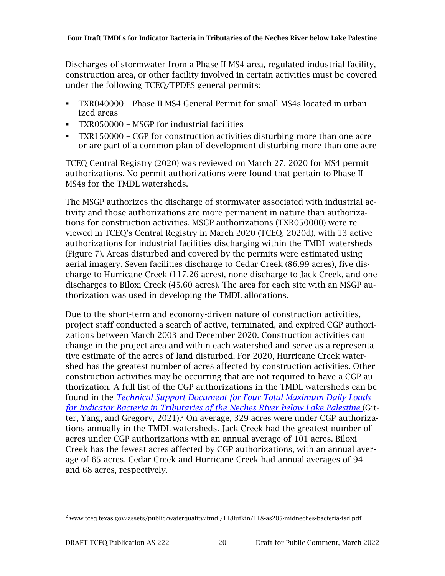Discharges of stormwater from a Phase II MS4 area, regulated industrial facility, construction area, or other facility involved in certain activities must be covered under the following TCEQ/TPDES general permits:

- TXR040000 Phase II MS4 General Permit for small MS4s located in urbanized areas
- TXR050000 MSGP for industrial facilities
- TXR150000 CGP for construction activities disturbing more than one acre or are part of a common plan of development disturbing more than one acre

TCEQ Central Registry (2020) was reviewed on March 27, 2020 for MS4 permit authorizations. No permit authorizations were found that pertain to Phase II MS4s for the TMDL watersheds.

The MSGP authorizes the discharge of stormwater associated with industrial activity and those authorizations are more permanent in nature than authorizations for construction activities. MSGP authorizations (TXR050000) were reviewed in TCEQ's Central Registry in March 2020 (TCEQ, 2020d), with 13 active authorizations for industrial facilities discharging within the TMDL watersheds [\(Figure 7\)](#page-22-1). Areas disturbed and covered by the permits were estimated using aerial imagery. Seven facilities discharge to Cedar Creek (86.99 acres), five discharge to Hurricane Creek (117.26 acres), none discharge to Jack Creek, and one discharges to Biloxi Creek (45.60 acres). The area for each site with an MSGP authorization was used in developing the TMDL allocations.

Due to the short-term and economy-driven nature of construction activities, project staff conducted a search of active, terminated, and expired CGP authorizations between March 2003 and December 2020. Construction activities can change in the project area and within each watershed and serve as a representative estimate of the acres of land disturbed. For 2020, Hurricane Creek watershed has the greatest number of acres affected by construction activities. Other construction activities may be occurring that are not required to have a CGP authorization. A full list of the CGP authorizations in the TMDL watersheds can be found in the *[Technical Support Document for Four Total Maximum Daily Loads](https://www.tceq.texas.gov/assets/public/waterquality/tmdl/118lufkin/118-as205-midneches-bacteria-tsd.pdf)  [for Indicator Bacteria in Tributaries of the Neches River below Lake Palestine](https://www.tceq.texas.gov/assets/public/waterquality/tmdl/118lufkin/118-as205-midneches-bacteria-tsd.pdf)* (Gitter, Yang, and Gregory, 2021). <sup>2</sup> On average, 329 acres were under CGP authorizations annually in the TMDL watersheds. Jack Creek had the greatest number of acres under CGP authorizations with an annual average of 101 acres. Biloxi Creek has the fewest acres affected by CGP authorizations, with an annual average of 65 acres. Cedar Creek and Hurricane Creek had annual averages of 94 and 68 acres, respectively.

 $^2$  www.tceq.texas.gov/assets/public/waterquality/tmdl/118lufkin/118-as205-midneches-bacteria-tsd.pdf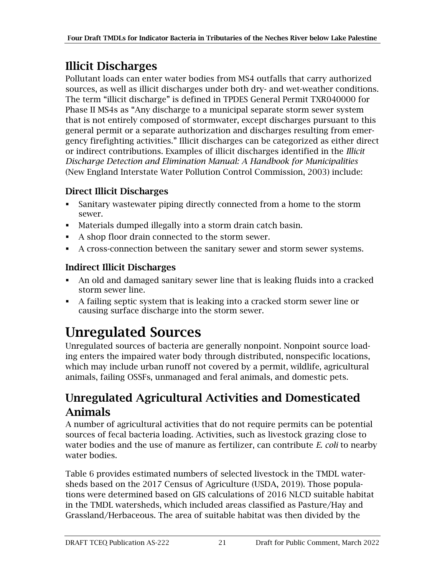#### <span id="page-26-0"></span>Illicit Discharges

Pollutant loads can enter water bodies from MS4 outfalls that carry authorized sources, as well as illicit discharges under both dry- and wet-weather conditions. The term "illicit discharge" is defined in TPDES General Permit TXR040000 for Phase II MS4s as "Any discharge to a municipal separate storm sewer system that is not entirely composed of stormwater, except discharges pursuant to this general permit or a separate authorization and discharges resulting from emergency firefighting activities." Illicit discharges can be categorized as either direct or indirect contributions. Examples of illicit discharges identified in the *Illicit Discharge Detection and Elimination Manual: A Handbook for Municipalities* (New England Interstate Water Pollution Control Commission, 2003) include:

#### Direct Illicit Discharges

- Sanitary wastewater piping directly connected from a home to the storm sewer.
- Materials dumped illegally into a storm drain catch basin.
- A shop floor drain connected to the storm sewer.
- A cross-connection between the sanitary sewer and storm sewer systems.

#### Indirect Illicit Discharges

- An old and damaged sanitary sewer line that is leaking fluids into a cracked storm sewer line.
- A failing septic system that is leaking into a cracked storm sewer line or causing surface discharge into the storm sewer.

## <span id="page-26-1"></span>Unregulated Sources

Unregulated sources of bacteria are generally nonpoint. Nonpoint source loading enters the impaired water body through distributed, nonspecific locations, which may include urban runoff not covered by a permit, wildlife, agricultural animals, failing OSSFs, unmanaged and feral animals, and domestic pets.

#### <span id="page-26-2"></span>Unregulated Agricultural Activities and Domesticated Animals

A number of agricultural activities that do not require permits can be potential sources of fecal bacteria loading. Activities, such as livestock grazing close to water bodies and the use of manure as fertilizer, can contribute *E. coli* to nearby water bodies.

[Table 6](#page-27-1) provides estimated numbers of selected livestock in the TMDL watersheds based on the 2017 Census of Agriculture (USDA, 2019). Those populations were determined based on GIS calculations of 2016 NLCD suitable habitat in the TMDL watersheds, which included areas classified as Pasture/Hay and Grassland/Herbaceous. The area of suitable habitat was then divided by the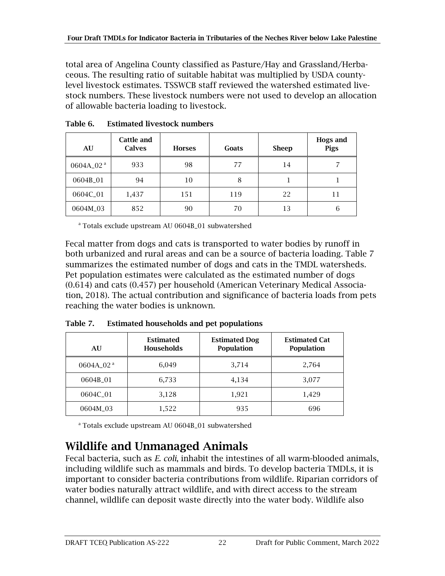total area of Angelina County classified as Pasture/Hay and Grassland/Herbaceous. The resulting ratio of suitable habitat was multiplied by USDA countylevel livestock estimates. TSSWCB staff reviewed the watershed estimated livestock numbers. These livestock numbers were not used to develop an allocation of allowable bacteria loading to livestock.

| AU                    | <b>Cattle and</b><br><b>Calves</b> | <b>Horses</b> | Goats | <b>Sheep</b> | <b>Hogs and</b><br>Pigs |
|-----------------------|------------------------------------|---------------|-------|--------------|-------------------------|
| 0604A_02 <sup>a</sup> | 933                                | 98            | 77    | 14           |                         |
| 0604B_01              | 94                                 | 10            | 8     |              |                         |
| 0604C_01              | 1,437                              | 151           | 119   | 22           | 11                      |
| 0604M_03              | 852                                | 90            | 70    | 13           | 6                       |

<span id="page-27-1"></span>Table 6. Estimated livestock numbers

<sup>a</sup> Totals exclude upstream AU 0604B\_01 subwatershed

Fecal matter from dogs and cats is transported to water bodies by runoff in both urbanized and rural areas and can be a source of bacteria loading. [Table 7](#page-27-2) summarizes the estimated number of dogs and cats in the TMDL watersheds. Pet population estimates were calculated as the estimated number of dogs (0.614) and cats (0.457) per household (American Veterinary Medical Association, 2018). The actual contribution and significance of bacteria loads from pets reaching the water bodies is unknown.

<span id="page-27-2"></span>Table 7. Estimated households and pet populations

| AU                   | <b>Estimated</b><br>Households | <b>Estimated Dog</b><br>Population | <b>Estimated Cat</b><br>Population |
|----------------------|--------------------------------|------------------------------------|------------------------------------|
| $0604A_02^a$         | 6,049                          | 3,714                              | 2,764                              |
| 0604B 01             | 6,733                          | 4,134                              | 3,077                              |
| 0604C <sub>-01</sub> | 3,128                          | 1,921                              | 1,429                              |
| 0604M_03             | 1,522                          | 935                                | 696                                |

<sup>a</sup> Totals exclude upstream AU 0604B\_01 subwatershed

#### <span id="page-27-0"></span>Wildlife and Unmanaged Animals

Fecal bacteria, such as *E. coli*, inhabit the intestines of all warm-blooded animals, including wildlife such as mammals and birds. To develop bacteria TMDLs, it is important to consider bacteria contributions from wildlife. Riparian corridors of water bodies naturally attract wildlife, and with direct access to the stream channel, wildlife can deposit waste directly into the water body. Wildlife also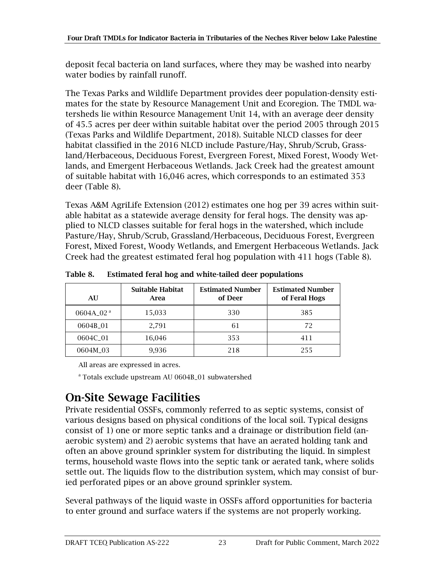deposit fecal bacteria on land surfaces, where they may be washed into nearby water bodies by rainfall runoff.

The Texas Parks and Wildlife Department provides deer population-density estimates for the state by Resource Management Unit and Ecoregion. The TMDL watersheds lie within Resource Management Unit 14, with an average deer density of 45.5 acres per deer within suitable habitat over the period 2005 through 2015 (Texas Parks and Wildlife Department, 2018). Suitable NLCD classes for deer habitat classified in the 2016 NLCD include Pasture/Hay, Shrub/Scrub, Grassland/Herbaceous, Deciduous Forest, Evergreen Forest, Mixed Forest, Woody Wetlands, and Emergent Herbaceous Wetlands. Jack Creek had the greatest amount of suitable habitat with 16,046 acres, which corresponds to an estimated 353 deer [\(Table 8\)](#page-28-1).

Texas A&M AgriLife Extension (2012) estimates one hog per 39 acres within suitable habitat as a statewide average density for feral hogs. The density was applied to NLCD classes suitable for feral hogs in the watershed, which include Pasture/Hay, Shrub/Scrub, Grassland/Herbaceous, Deciduous Forest, Evergreen Forest, Mixed Forest, Woody Wetlands, and Emergent Herbaceous Wetlands. Jack Creek had the greatest estimated feral hog population with 411 hogs [\(Table 8\)](#page-28-1).

| AU           | <b>Suitable Habitat</b><br>Area | <b>Estimated Number</b><br>of Deer | <b>Estimated Number</b><br>of Feral Hogs |
|--------------|---------------------------------|------------------------------------|------------------------------------------|
| $0604A_02^a$ | 15,033                          | 330                                | 385                                      |
| 0604B_01     | 2,791                           | 61                                 | 72                                       |
| 0604C 01     | 16,046                          | 353                                | 411                                      |
| 0604M 03     | 9,936                           | 218                                | 255                                      |

<span id="page-28-1"></span>Table 8. Estimated feral hog and white-tailed deer populations

All areas are expressed in acres.

<sup>a</sup> Totals exclude upstream AU 0604B\_01 subwatershed

#### <span id="page-28-0"></span>On-Site Sewage Facilities

Private residential OSSFs, commonly referred to as septic systems, consist of various designs based on physical conditions of the local soil. Typical designs consist of 1) one or more septic tanks and a drainage or distribution field (anaerobic system) and 2) aerobic systems that have an aerated holding tank and often an above ground sprinkler system for distributing the liquid. In simplest terms, household waste flows into the septic tank or aerated tank, where solids settle out. The liquids flow to the distribution system, which may consist of buried perforated pipes or an above ground sprinkler system.

Several pathways of the liquid waste in OSSFs afford opportunities for bacteria to enter ground and surface waters if the systems are not properly working.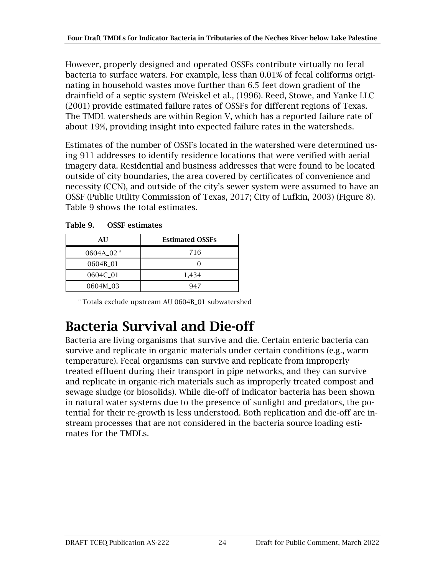However, properly designed and operated OSSFs contribute virtually no fecal bacteria to surface waters. For example, less than 0.01% of fecal coliforms originating in household wastes move further than 6.5 feet down gradient of the drainfield of a septic system (Weiskel et al., (1996). Reed, Stowe, and Yanke LLC (2001) provide estimated failure rates of OSSFs for different regions of Texas. The TMDL watersheds are within Region V, which has a reported failure rate of about 19%, providing insight into expected failure rates in the watersheds.

Estimates of the number of OSSFs located in the watershed were determined using 911 addresses to identify residence locations that were verified with aerial imagery data. Residential and business addresses that were found to be located outside of city boundaries, the area covered by certificates of convenience and necessity (CCN), and outside of the city's sewer system were assumed to have an OSSF (Public Utility Commission of Texas, 2017; City of Lufkin, 2003) [\(Figure 8\)](#page-30-1). Table 9 shows the total estimates.

| AU           | <b>Estimated OSSFs</b> |
|--------------|------------------------|
| 0604A 02 $a$ | 716                    |
| 0604B_01     |                        |
| 0604C_01     | 1,434                  |
| 0604M 03     | 947                    |

<span id="page-29-1"></span>Table 9. OSSF estimates

<sup>a</sup> Totals exclude upstream AU 0604B\_01 subwatershed

## <span id="page-29-0"></span>Bacteria Survival and Die-off

Bacteria are living organisms that survive and die. Certain enteric bacteria can survive and replicate in organic materials under certain conditions (e.g., warm temperature). Fecal organisms can survive and replicate from improperly treated effluent during their transport in pipe networks, and they can survive and replicate in organic-rich materials such as improperly treated compost and sewage sludge (or biosolids). While die-off of indicator bacteria has been shown in natural water systems due to the presence of sunlight and predators, the potential for their re-growth is less understood. Both replication and die-off are instream processes that are not considered in the bacteria source loading estimates for the TMDLs.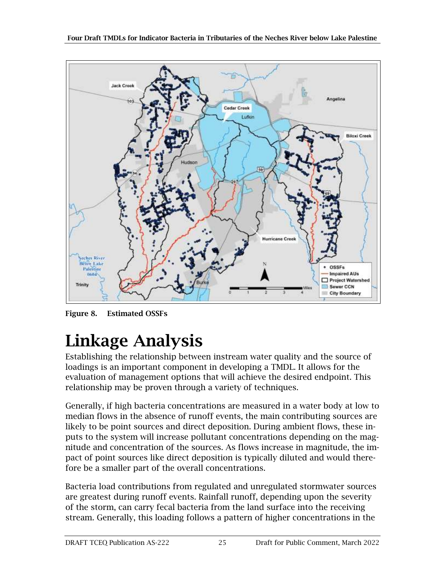

<span id="page-30-1"></span>Figure 8. Estimated OSSFs

# <span id="page-30-0"></span>Linkage Analysis

Establishing the relationship between instream water quality and the source of loadings is an important component in developing a TMDL. It allows for the evaluation of management options that will achieve the desired endpoint. This relationship may be proven through a variety of techniques.

Generally, if high bacteria concentrations are measured in a water body at low to median flows in the absence of runoff events, the main contributing sources are likely to be point sources and direct deposition. During ambient flows, these inputs to the system will increase pollutant concentrations depending on the magnitude and concentration of the sources. As flows increase in magnitude, the impact of point sources like direct deposition is typically diluted and would therefore be a smaller part of the overall concentrations.

Bacteria load contributions from regulated and unregulated stormwater sources are greatest during runoff events. Rainfall runoff, depending upon the severity of the storm, can carry fecal bacteria from the land surface into the receiving stream. Generally, this loading follows a pattern of higher concentrations in the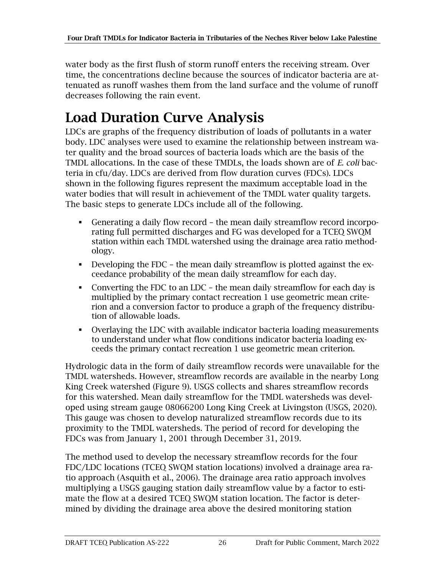water body as the first flush of storm runoff enters the receiving stream. Over time, the concentrations decline because the sources of indicator bacteria are attenuated as runoff washes them from the land surface and the volume of runoff decreases following the rain event.

## <span id="page-31-0"></span>Load Duration Curve Analysis

LDCs are graphs of the frequency distribution of loads of pollutants in a water body. LDC analyses were used to examine the relationship between instream water quality and the broad sources of bacteria loads which are the basis of the TMDL allocations. In the case of these TMDLs, the loads shown are of *E. coli* bacteria in cfu/day. LDCs are derived from flow duration curves (FDCs). LDCs shown in the following figures represent the maximum acceptable load in the water bodies that will result in achievement of the TMDL water quality targets. The basic steps to generate LDCs include all of the following.

- Generating a daily flow record the mean daily streamflow record incorporating full permitted discharges and FG was developed for a TCEQ SWQM station within each TMDL watershed using the drainage area ratio methodology.
- Developing the FDC the mean daily streamflow is plotted against the exceedance probability of the mean daily streamflow for each day.
- Converting the FDC to an LDC the mean daily streamflow for each day is multiplied by the primary contact recreation 1 use geometric mean criterion and a conversion factor to produce a graph of the frequency distribution of allowable loads.
- Overlaying the LDC with available indicator bacteria loading measurements to understand under what flow conditions indicator bacteria loading exceeds the primary contact recreation 1 use geometric mean criterion.

Hydrologic data in the form of daily streamflow records were unavailable for the TMDL watersheds. However, streamflow records are available in the nearby Long King Creek watershed [\(Figure 9\)](#page-32-0). USGS collects and shares streamflow records for this watershed. Mean daily streamflow for the TMDL watersheds was developed using stream gauge 08066200 Long King Creek at Livingston (USGS, 2020). This gauge was chosen to develop naturalized streamflow records due to its proximity to the TMDL watersheds. The period of record for developing the FDCs was from January 1, 2001 through December 31, 2019.

The method used to develop the necessary streamflow records for the four FDC/LDC locations (TCEQ SWQM station locations) involved a drainage area ratio approach (Asquith et al., 2006). The drainage area ratio approach involves multiplying a USGS gauging station daily streamflow value by a factor to estimate the flow at a desired TCEQ SWQM station location. The factor is determined by dividing the drainage area above the desired monitoring station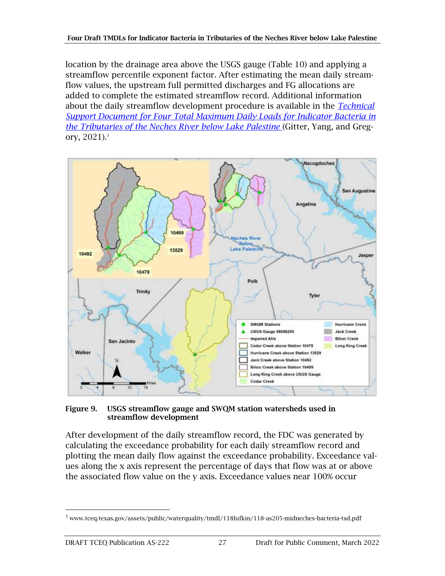location by the drainage area above the USGS gauge [\(Table 10\)](#page-33-0) and applying a streamflow percentile exponent factor. After estimating the mean daily streamflow values, the upstream full permitted discharges and FG allocations are added to complete the estimated streamflow record. Additional information about the daily streamflow development procedure is available in the *[Technical](https://www.tceq.texas.gov/assets/public/waterquality/tmdl/118lufkin/118-as205-midneches-bacteria-tsd.pdf)  [Support Document for Four Total Maximum Daily Loads for Indicator Bacteria in](https://www.tceq.texas.gov/assets/public/waterquality/tmdl/118lufkin/118-as205-midneches-bacteria-tsd.pdf) [the Tributaries of the Neches River below Lake Palestine](https://www.tceq.texas.gov/assets/public/waterquality/tmdl/118lufkin/118-as205-midneches-bacteria-tsd.pdf)* (Gitter, Yang, and Gregory, 2021).<sup>3</sup>



<span id="page-32-0"></span>Figure 9. USGS streamflow gauge and SWQM station watersheds used in streamflow development

After development of the daily streamflow record, the FDC was generated by calculating the exceedance probability for each daily streamflow record and plotting the mean daily flow against the exceedance probability. Exceedance values along the x axis represent the percentage of days that flow was at or above the associated flow value on the y axis. Exceedance values near 100% occur

 $3$  www.tceq.texas.gov/assets/public/waterquality/tmdl/118lufkin/118-as205-midneches-bacteria-tsd.pdf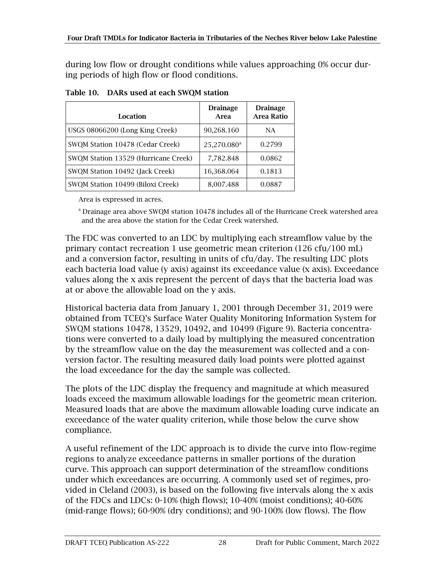during low flow or drought conditions while values approaching 0% occur during periods of high flow or flood conditions.

| Location                             | <b>Drainage</b><br>Area | <b>Drainage</b><br><b>Area Ratio</b> |
|--------------------------------------|-------------------------|--------------------------------------|
| USGS 08066200 (Long King Creek)      | 90,268.160              | NA                                   |
| SWQM Station 10478 (Cedar Creek)     | 25,270.080 <sup>a</sup> | 0.2799                               |
| SWOM Station 13529 (Hurricane Creek) | 7,782.848               | 0.0862                               |
| SWQM Station 10492 (Jack Creek)      | 16,368.064              | 0.1813                               |
| SWQM Station 10499 (Biloxi Creek)    | 8,007.488               | 0.0887                               |

<span id="page-33-0"></span>

| Table 10. DARs used at each SWQM station |
|------------------------------------------|
|                                          |

Area is expressed in acres.

<sup>a</sup> Drainage area above SWQM station 10478 includes all of the Hurricane Creek watershed area and the area above the station for the Cedar Creek watershed.

The FDC was converted to an LDC by multiplying each streamflow value by the primary contact recreation 1 use geometric mean criterion (126 cfu/100 mL) and a conversion factor, resulting in units of cfu/day. The resulting LDC plots each bacteria load value (y axis) against its exceedance value (x axis). Exceedance values along the x axis represent the percent of days that the bacteria load was at or above the allowable load on the y axis.

Historical bacteria data from January 1, 2001 through December 31, 2019 were obtained from TCEQ's Surface Water Quality Monitoring Information System for SWQM stations 10478, 13529, 10492, and 10499 [\(Figure 9\)](#page-32-0). Bacteria concentrations were converted to a daily load by multiplying the measured concentration by the streamflow value on the day the measurement was collected and a conversion factor. The resulting measured daily load points were plotted against the load exceedance for the day the sample was collected.

The plots of the LDC display the frequency and magnitude at which measured loads exceed the maximum allowable loadings for the geometric mean criterion. Measured loads that are above the maximum allowable loading curve indicate an exceedance of the water quality criterion, while those below the curve show compliance.

A useful refinement of the LDC approach is to divide the curve into flow-regime regions to analyze exceedance patterns in smaller portions of the duration curve. This approach can support determination of the streamflow conditions under which exceedances are occurring. A commonly used set of regimes, provided in Cleland (2003), is based on the following five intervals along the x axis of the FDCs and LDCs: 0-10% (high flows); 10-40% (moist conditions); 40-60% (mid-range flows); 60-90% (dry conditions); and 90-100% (low flows). The flow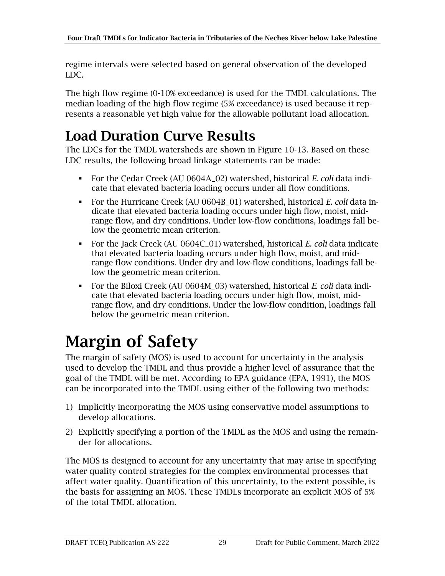regime intervals were selected based on general observation of the developed LDC.

The high flow regime (0-10% exceedance) is used for the TMDL calculations. The median loading of the high flow regime (5% exceedance) is used because it represents a reasonable yet high value for the allowable pollutant load allocation.

### <span id="page-34-0"></span>Load Duration Curve Results

The LDCs for the TMDL watersheds are shown in [Figure 10-](#page-35-0)13. Based on these LDC results, the following broad linkage statements can be made:

- For the Cedar Creek (AU 0604A\_02) watershed, historical *E. coli* data indicate that elevated bacteria loading occurs under all flow conditions.
- For the Hurricane Creek (AU 0604B\_01) watershed, historical *E. coli* data indicate that elevated bacteria loading occurs under high flow, moist, midrange flow, and dry conditions. Under low-flow conditions, loadings fall below the geometric mean criterion.
- For the Jack Creek (AU 0604C\_01) watershed, historical *E. coli* data indicate that elevated bacteria loading occurs under high flow, moist, and midrange flow conditions. Under dry and low-flow conditions, loadings fall below the geometric mean criterion.
- For the Biloxi Creek (AU 0604M\_03) watershed, historical *E. coli* data indicate that elevated bacteria loading occurs under high flow, moist, midrange flow, and dry conditions. Under the low-flow condition, loadings fall below the geometric mean criterion.

## <span id="page-34-1"></span>Margin of Safety

The margin of safety (MOS) is used to account for uncertainty in the analysis used to develop the TMDL and thus provide a higher level of assurance that the goal of the TMDL will be met. According to EPA guidance (EPA, 1991), the MOS can be incorporated into the TMDL using either of the following two methods:

- 1) Implicitly incorporating the MOS using conservative model assumptions to develop allocations.
- 2) Explicitly specifying a portion of the TMDL as the MOS and using the remainder for allocations.

The MOS is designed to account for any uncertainty that may arise in specifying water quality control strategies for the complex environmental processes that affect water quality. Quantification of this uncertainty, to the extent possible, is the basis for assigning an MOS. These TMDLs incorporate an explicit MOS of 5% of the total TMDL allocation.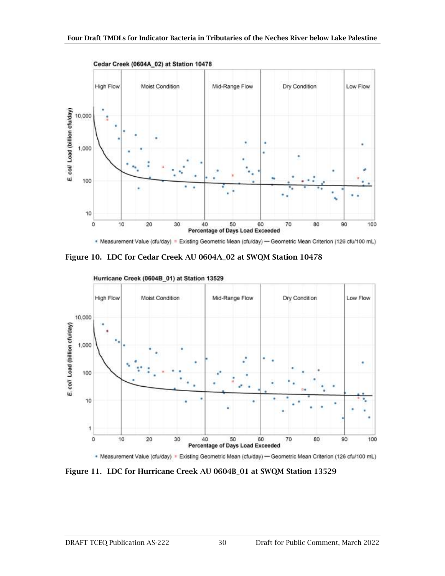

. Measurement Value (cfu/day) = Existing Geometric Mean (cfu/day) - Geometric Mean Criterion (126 cfu/100 mL)

<span id="page-35-0"></span>Figure 10. LDC for Cedar Creek AU 0604A\_02 at SWQM Station 10478



```
Hurricane Creek (0604B_01) at Station 13529
```
\* Measurement Value (cfu/day) \* Existing Geometric Mean (cfu/day) - Geometric Mean Criterion (126 cfu/100 mL)

<span id="page-35-1"></span>Figure 11. LDC for Hurricane Creek AU 0604B\_01 at SWQM Station 13529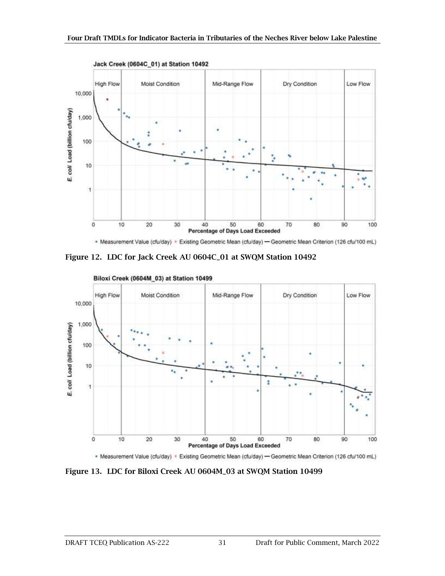

\* Measurement Value (cfu/day) \* Existing Geometric Mean (cfu/day) - Geometric Mean Criterion (126 cfu/100 mL)

<span id="page-36-0"></span>Figure 12. LDC for Jack Creek AU 0604C\_01 at SWQM Station 10492



\* Measurement Value (cfu/day) \* Existing Geometric Mean (cfu/day) - Geometric Mean Criterion (126 cfu/100 mL)

<span id="page-36-1"></span>Figure 13. LDC for Biloxi Creek AU 0604M\_03 at SWQM Station 10499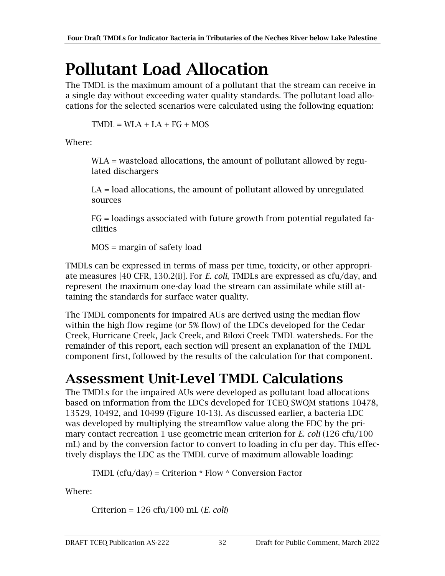## <span id="page-37-0"></span>Pollutant Load Allocation

The TMDL is the maximum amount of a pollutant that the stream can receive in a single day without exceeding water quality standards. The pollutant load allocations for the selected scenarios were calculated using the following equation:

 $TMDL = WLA + LA + FG + MOS$ 

Where:

WLA = wasteload allocations, the amount of pollutant allowed by regulated dischargers

LA = load allocations, the amount of pollutant allowed by unregulated sources

FG = loadings associated with future growth from potential regulated facilities

MOS = margin of safety load

TMDLs can be expressed in terms of mass per time, toxicity, or other appropriate measures [40 CFR, 130.2(i)]. For *E. coli*, TMDLs are expressed as cfu/day, and represent the maximum one-day load the stream can assimilate while still attaining the standards for surface water quality.

The TMDL components for impaired AUs are derived using the median flow within the high flow regime (or 5% flow) of the LDCs developed for the Cedar Creek, Hurricane Creek, Jack Creek, and Biloxi Creek TMDL watersheds. For the remainder of this report, each section will present an explanation of the TMDL component first, followed by the results of the calculation for that component.

### <span id="page-37-1"></span>Assessment Unit-Level TMDL Calculations

The TMDLs for the impaired AUs were developed as pollutant load allocations based on information from the LDCs developed for TCEQ SWQM stations 10478, 13529, 10492, and 10499 [\(Figure 10-](#page-35-0)13). As discussed earlier, a bacteria LDC was developed by multiplying the streamflow value along the FDC by the primary contact recreation 1 use geometric mean criterion for *E. coli* (126 cfu/100 mL) and by the conversion factor to convert to loading in cfu per day. This effectively displays the LDC as the TMDL curve of maximum allowable loading:

TMDL (cfu/day) = Criterion  $*$  Flow  $*$  Conversion Factor

Where:

Criterion = 126 cfu/100 mL (*E. coli*)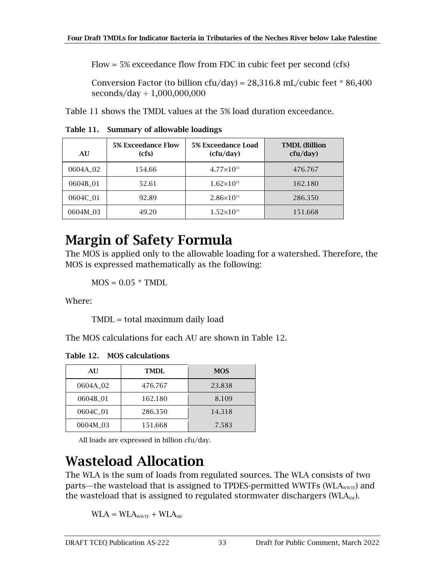Flow = 5% exceedance flow from FDC in cubic feet per second (cfs)

Conversion Factor (to billion cfu/day) =  $28,316.8$  mL/cubic feet  $*86,400$ seconds/day ÷ 1,000,000,000

Table 11 shows the TMDL values at the 5% load duration exceedance.

<span id="page-38-2"></span>Table 11. Summary of allowable loadings

| AU                   | <b>5% Exceedance Flow</b><br>(cfs) | 5% Exceedance Load<br>(cfu/day) | <b>TMDL</b> (Billion<br>cfu/day) |
|----------------------|------------------------------------|---------------------------------|----------------------------------|
| 0604A <sub>-02</sub> | 154.66                             | $4.77\times10^{11}$             | 476.767                          |
| 0604B 01             | 52.61                              | $1.62\times10^{11}$             | 162.180                          |
| 0604C 01             | 92.89                              | $2.86\times10^{11}$             | 286.350                          |
| 0604M 03             | 49.20                              | $1.52\times10^{11}$             | 151.668                          |

#### <span id="page-38-0"></span>Margin of Safety Formula

The MOS is applied only to the allowable loading for a watershed. Therefore, the MOS is expressed mathematically as the following:

 $MOS = 0.05 * TMDL$ 

Where:

TMDL = total maximum daily load

The MOS calculations for each AU are shown in [Table 12.](#page-38-3)

<span id="page-38-3"></span>Table 12. MOS calculations

| AU                   | TMDI.   | <b>MOS</b> |
|----------------------|---------|------------|
| 0604A 02             | 476.767 | 23.838     |
| 0604B 01             | 162.180 | 8.109      |
| 0604C <sub>-01</sub> | 286.350 | 14.318     |
| 0604M 03             | 151.668 | 7.583      |

All loads are expressed in billion cfu/day.

### <span id="page-38-1"></span>Wasteload Allocation

The WLA is the sum of loads from regulated sources. The WLA consists of two parts—the wasteload that is assigned to TPDES-permitted WWTFs (WLA<sub>WWTF</sub>) and the wasteload that is assigned to regulated stormwater dischargers ( $WLA<sub>sw</sub>$ ).

 $WLA = WLA<sub>WWTF</sub> + WLA<sub>SW</sub>$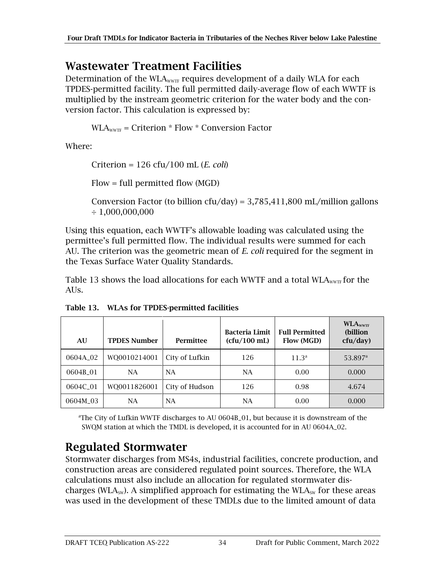#### <span id="page-39-0"></span>Wastewater Treatment Facilities

Determination of the WLA<sub>WWTF</sub> requires development of a daily WLA for each TPDES-permitted facility. The full permitted daily-average flow of each WWTF is multiplied by the instream geometric criterion for the water body and the conversion factor. This calculation is expressed by:

 $WLA<sub>WVTF</sub> = Criterion * Flow * Conversion Factor$ 

Where:

Criterion = 126 cfu/100 mL (*E. coli*)

Flow = full permitted flow (MGD)

Conversion Factor (to billion cfu/day) =  $3,785,411,800$  mL/million gallons  $\div$  1,000,000,000

Using this equation, each WWTF's allowable loading was calculated using the permittee's full permitted flow. The individual results were summed for each AU. The criterion was the geometric mean of *E. coli* required for the segment in the Texas Surface Water Quality Standards.

[Table 13](#page-39-2) shows the load allocations for each WWTF and a total  $WLA<sub>WWT</sub>$  for the AUs.

| AU                   | <b>TPDES Number</b> | Permittee      | <b>Bacteria Limit</b><br>(cfu/100 mL) | <b>Full Permitted</b><br>Flow (MGD) | <b>WLAWWTF</b><br>(billion<br>cfu/day) |
|----------------------|---------------------|----------------|---------------------------------------|-------------------------------------|----------------------------------------|
| 0604A <sub>-02</sub> | WO0010214001        | City of Lufkin | 126                                   | 11.3 <sup>a</sup>                   | 53.897 <sup>a</sup>                    |
| 0604B_01             | <b>NA</b>           | <b>NA</b>      | <b>NA</b>                             | 0.00                                | 0.000                                  |
| 0604C_01             | WQ0011826001        | City of Hudson | 126                                   | 0.98                                | 4.674                                  |
| 0604M_03             | NA                  | NA.            | <b>NA</b>                             | 0.00                                | 0.000                                  |

<span id="page-39-2"></span>Table 13. WLAs for TPDES-permitted facilities

<sup>a</sup>The City of Lufkin WWTF discharges to AU  $0604B_01$ , but because it is downstream of the SWQM station at which the TMDL is developed, it is accounted for in AU 0604A\_02.

### <span id="page-39-1"></span>Regulated Stormwater

Stormwater discharges from MS4s, industrial facilities, concrete production, and construction areas are considered regulated point sources. Therefore, the WLA calculations must also include an allocation for regulated stormwater discharges (WLA<sub>sw</sub>). A simplified approach for estimating the WLA<sub>sw</sub> for these areas was used in the development of these TMDLs due to the limited amount of data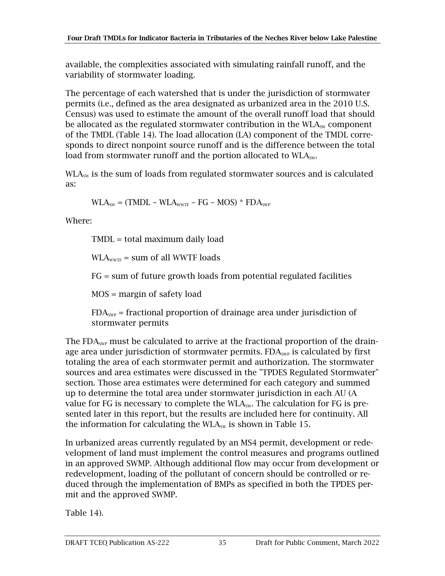available, the complexities associated with simulating rainfall runoff, and the variability of stormwater loading.

The percentage of each watershed that is under the jurisdiction of stormwater permits (i.e., defined as the area designated as urbanized area in the 2010 U.S. Census) was used to estimate the amount of the overall runoff load that should be allocated as the regulated stormwater contribution in the  $WLA_{sw}$  component of the TMDL (Table 14). The load allocation (LA) component of the TMDL corresponds to direct nonpoint source runoff and is the difference between the total load from stormwater runoff and the portion allocated to  $WLA<sub>sw</sub>$ .

 $WLA<sub>sw</sub>$  is the sum of loads from regulated stormwater sources and is calculated as:

 $WLA<sub>sw</sub> = (TMDL - WLA<sub>wWTF</sub> - FG - MOS) * FDA<sub>swP</sub>$ 

Where:

TMDL = total maximum daily load

 $WLA<sub>WWTF</sub> = sum of all WWTF loads$ 

FG = sum of future growth loads from potential regulated facilities

MOS = margin of safety load

 $FDA<sub>SWP</sub>$  = fractional proportion of drainage area under jurisdiction of stormwater permits

The FDA<sub>SWP</sub> must be calculated to arrive at the fractional proportion of the drainage area under jurisdiction of stormwater permits.  $FDA<sub>SWP</sub>$  is calculated by first totaling the area of each stormwater permit and authorization. The stormwater sources and area estimates were discussed in the "TPDES Regulated Stormwater" section. Those area estimates were determined for each category and summed up to determine the total area under stormwater jurisdiction in each AU [\(A](#page-41-2)  value for FG is necessary to complete the  $WLA_{sw}$ . The calculation for FG is pre[sented later in this report, but the results are included here for continuity. All](#page-41-2)  the information for calculating the  $WLA<sub>SW</sub>$  is shown in Table 15.

[In urbanized areas currently regulated by an MS4 permit, development or rede](#page-41-2)[velopment of land must implement the control measures](#page-41-2) and programs outlined in an [approved SWMP. Although additional flow may occur from development or](#page-41-2)  [redevelopment, loading of the pollutant of concern should be controlled or re](#page-41-2)duced through [the implementation of BMPs as specified in both the TPDES per](#page-41-2)[mit and the approved SWMP.](#page-41-2)

[Table 14\)](#page-41-2).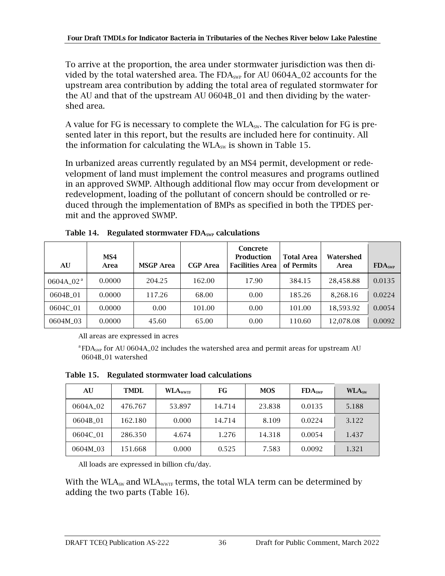To arrive at the proportion, the area under stormwater jurisdiction was then divided by the total watershed area. The  $FDA<sub>SWP</sub>$  for AU 0604A\_02 accounts for the upstream area contribution by adding the total area of regulated stormwater for the AU and that of the upstream AU 0604B\_01 and then dividing by the watershed area.

<span id="page-41-2"></span>A value for FG is necessary to complete the  $WLA_{sw}$ . The calculation for FG is presented later in this report, but the results are included here for continuity. All the information for calculating the  $WLA_{sw}$  is shown in [Table 15.](#page-41-1)

In urbanized areas currently regulated by an MS4 permit, development or redevelopment of land must implement the control measures and programs outlined in an approved SWMP. Although additional flow may occur from development or redevelopment, loading of the pollutant of concern should be controlled or reduced through the implementation of BMPs as specified in both the TPDES permit and the approved SWMP.

| AU                    | MS4<br>Area | <b>MSGP</b> Area | <b>CGP</b> Area | Concrete<br><b>Production</b><br><b>Facilities Area</b> | <b>Total Area</b><br>of Permits | Watershed<br>Area | FDA <sub>swP</sub> |
|-----------------------|-------------|------------------|-----------------|---------------------------------------------------------|---------------------------------|-------------------|--------------------|
| 0604A 02 <sup>a</sup> | 0.0000      | 204.25           | 162.00          | 17.90                                                   | 384.15                          | 28,458.88         | 0.0135             |
| 0604B 01              | 0.0000      | 117.26           | 68.00           | 0.00                                                    | 185.26                          | 8,268.16          | 0.0224             |
| 0604C 01              | 0.0000      | 0.00             | 101.00          | 0.00                                                    | 101.00                          | 18,593.92         | 0.0054             |
| 0604M_03              | 0.0000      | 45.60            | 65.00           | 0.00                                                    | 110.60                          | 12,078.08         | 0.0092             |

<span id="page-41-0"></span>Table 14. Regulated stormwater  $FDA<sub>swP</sub>$  calculations

All areas are expressed in acres

 ${}^{\text{a}}$  FDA<sub>SWP</sub> for AU 0604A<sub>-</sub>02 includes the watershed area and permit areas for upstream AU 0604B\_01 watershed

<span id="page-41-1"></span>Table 15. Regulated stormwater load calculations

| AU       | <b>TMDL</b> | <b>WLA</b> <sub>wwTF</sub> | FG     | <b>MOS</b> | FDA <sub>swP</sub> | WLA <sub>sw</sub> |
|----------|-------------|----------------------------|--------|------------|--------------------|-------------------|
| 0604A 02 | 476.767     | 53.897                     | 14.714 | 23.838     | 0.0135             | 5.188             |
| 0604B 01 | 162.180     | 0.000                      | 14.714 | 8.109      | 0.0224             | 3.122             |
| 0604C 01 | 286.350     | 4.674                      | 1.276  | 14.318     | 0.0054             | 1.437             |
| 0604M 03 | 151.668     | 0.000                      | 0.525  | 7.583      | 0.0092             | 1.321             |

All loads are expressed in billion cfu/day.

With the WLA<sub>sw</sub> and WLA<sub>wwTF</sub> terms, the total WLA term can be determined by adding the two parts [\(Table 16\)](#page-42-1).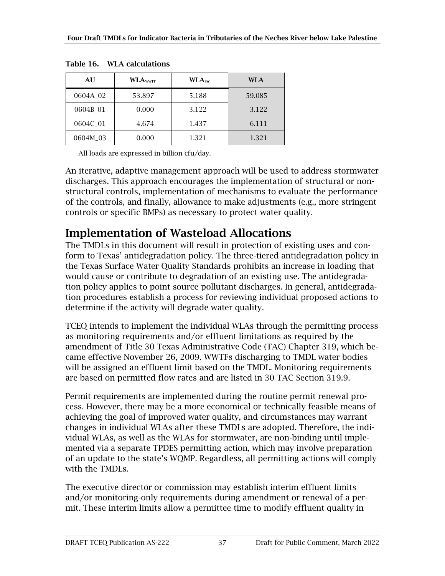| AU       | <b>WLA</b> wwTF | WLA <sub>sw</sub> | WLA    |
|----------|-----------------|-------------------|--------|
| 0604A 02 | 53.897          | 5.188             | 59.085 |
| 0604B_01 | 0.000           | 3.122             | 3.122  |
| 0604C 01 | 4.674           | 1.437             | 6.111  |
| 0604M 03 | 0.000           | 1.321             | 1.321  |

<span id="page-42-1"></span>Table 16. WLA calculations

All loads are expressed in billion cfu/day.

An iterative, adaptive management approach will be used to address stormwater discharges. This approach encourages the implementation of structural or nonstructural controls, implementation of mechanisms to evaluate the performance of the controls, and finally, allowance to make adjustments (e.g.*,* more stringent controls or specific BMPs) as necessary to protect water quality.

#### <span id="page-42-0"></span>Implementation of Wasteload Allocations

The TMDLs in this document will result in protection of existing uses and conform to Texas' antidegradation policy. The three-tiered antidegradation policy in the Texas Surface Water Quality Standards prohibits an increase in loading that would cause or contribute to degradation of an existing use. The antidegradation policy applies to point source pollutant discharges. In general, antidegradation procedures establish a process for reviewing individual proposed actions to determine if the activity will degrade water quality.

TCEQ intends to implement the individual WLAs through the permitting process as monitoring requirements and/or effluent limitations as required by the amendment of Title 30 Texas Administrative Code (TAC) Chapter 319, which became effective November 26, 2009. WWTFs discharging to TMDL water bodies will be assigned an effluent limit based on the TMDL. Monitoring requirements are based on permitted flow rates and are listed in 30 TAC Section 319.9.

Permit requirements are implemented during the routine permit renewal process. However, there may be a more economical or technically feasible means of achieving the goal of improved water quality, and circumstances may warrant changes in individual WLAs after these TMDLs are adopted. Therefore, the individual WLAs, as well as the WLAs for stormwater, are non-binding until implemented via a separate TPDES permitting action, which may involve preparation of an update to the state's WQMP. Regardless, all permitting actions will comply with the TMDLs.

The executive director or commission may establish interim effluent limits and/or monitoring-only requirements during amendment or renewal of a permit. These interim limits allow a permittee time to modify effluent quality in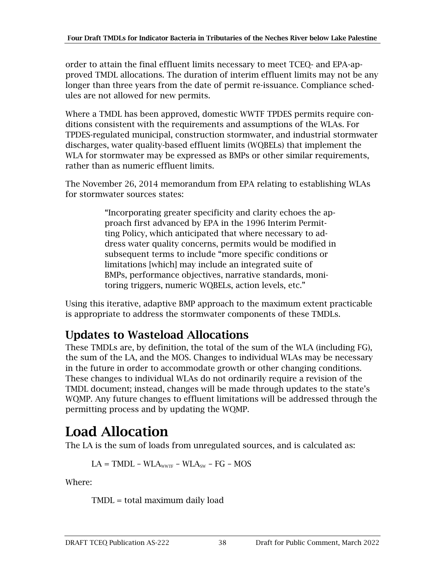order to attain the final effluent limits necessary to meet TCEQ- and EPA-approved TMDL allocations. The duration of interim effluent limits may not be any longer than three years from the date of permit re-issuance. Compliance schedules are not allowed for new permits.

Where a TMDL has been approved, domestic WWTF TPDES permits require conditions consistent with the requirements and assumptions of the WLAs. For TPDES-regulated municipal, construction stormwater, and industrial stormwater discharges, water quality-based effluent limits (WQBELs) that implement the WLA for stormwater may be expressed as BMPs or other similar requirements, rather than as numeric effluent limits.

The November 26, 2014 memorandum from EPA relating to establishing WLAs for stormwater sources states:

> "Incorporating greater specificity and clarity echoes the approach first advanced by EPA in the 1996 Interim Permitting Policy, which anticipated that where necessary to address water quality concerns, permits would be modified in subsequent terms to include "more specific conditions or limitations [which] may include an integrated suite of BMPs, performance objectives, narrative standards, monitoring triggers, numeric WQBELs, action levels, etc."

Using this iterative, adaptive BMP approach to the maximum extent practicable is appropriate to address the stormwater components of these TMDLs.

#### <span id="page-43-0"></span>Updates to Wasteload Allocations

These TMDLs are, by definition, the total of the sum of the WLA (including FG), the sum of the LA, and the MOS. Changes to individual WLAs may be necessary in the future in order to accommodate growth or other changing conditions. These changes to individual WLAs do not ordinarily require a revision of the TMDL document; instead, changes will be made through updates to the state's WQMP. Any future changes to effluent limitations will be addressed through the permitting process and by updating the WQMP.

### <span id="page-43-1"></span>Load Allocation

The LA is the sum of loads from unregulated sources, and is calculated as:

$$
LA = TMDL - WLAwvTF - WLAsw - FG - MOS
$$

Where:

TMDL = total maximum daily load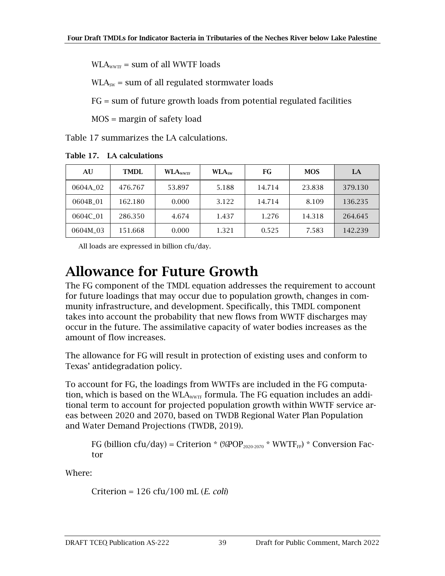$WLA<sub>WVTF</sub>$  = sum of all WWTF loads

 $WLA<sub>sw</sub>$  = sum of all regulated stormwater loads

FG = sum of future growth loads from potential regulated facilities

MOS = margin of safety load

[Table 17](#page-44-1) summarizes the LA calculations.

| AU                   | TMDI.   | <b>WLA</b> <sub>wwTF</sub> | WLA <sub>sw</sub> | FG     | <b>MOS</b> | LA      |
|----------------------|---------|----------------------------|-------------------|--------|------------|---------|
| 0604A <sub>-02</sub> | 476.767 | 53.897                     | 5.188             | 14.714 | 23.838     | 379.130 |
| 0604B 01             | 162.180 | 0.000                      | 3.122             | 14.714 | 8.109      | 136.235 |
| 0604C 01             | 286.350 | 4.674                      | 1.437             | 1.276  | 14.318     | 264.645 |
| 0604M 03             | 151.668 | 0.000                      | 1.321             | 0.525  | 7.583      | 142.239 |

<span id="page-44-1"></span>Table 17. LA calculations

All loads are expressed in billion cfu/day.

#### <span id="page-44-0"></span>Allowance for Future Growth

The FG component of the TMDL equation addresses the requirement to account for future loadings that may occur due to population growth, changes in community infrastructure, and development. Specifically, this TMDL component takes into account the probability that new flows from WWTF discharges may occur in the future. The assimilative capacity of water bodies increases as the amount of flow increases.

The allowance for FG will result in protection of existing uses and conform to Texas' antidegradation policy.

To account for FG, the loadings from WWTFs are included in the FG computation, which is based on the  $WLA_{\text{WVTF}}$  formula. The FG equation includes an additional term to account for projected population growth within WWTF service areas between 2020 and 2070, based on TWDB Regional Water Plan Population and Water Demand Projections (TWDB, 2019).

FG (billion cfu/day) = Criterion \* (%POP<sub>2020-2070</sub> \* WWTF<sub>FP</sub>) \* Conversion Factor

Where:

Criterion = 126 cfu/100 mL (*E. coli*)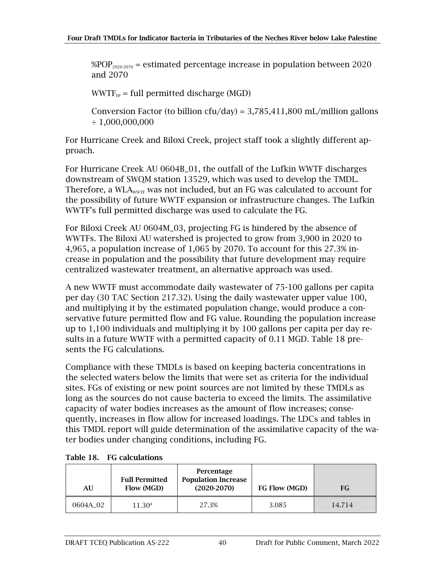$\% POP_{2020-2070}$  = estimated percentage increase in population between 2020 and 2070

 $WWTF_{FP}$  = full permitted discharge (MGD)

Conversion Factor (to billion cfu/day) =  $3,785,411,800$  mL/million gallons  $\div$  1,000,000,000

For Hurricane Creek and Biloxi Creek, project staff took a slightly different approach.

For Hurricane Creek AU 0604B\_01, the outfall of the Lufkin WWTF discharges downstream of SWQM station 13529, which was used to develop the TMDL. Therefore, a WLA<sub>WWTF</sub> was not included, but an FG was calculated to account for the possibility of future WWTF expansion or infrastructure changes. The Lufkin WWTF's full permitted discharge was used to calculate the FG.

For Biloxi Creek AU 0604M\_03, projecting FG is hindered by the absence of WWTFs. The Biloxi AU watershed is projected to grow from 3,900 in 2020 to 4,965, a population increase of 1,065 by 2070. To account for this 27.3% increase in population and the possibility that future development may require centralized wastewater treatment, an alternative approach was used.

A new WWTF must accommodate daily wastewater of 75-100 gallons per capita per day (30 TAC Section 217.32). Using the daily wastewater upper value 100, and multiplying it by the estimated population change, would produce a conservative future permitted flow and FG value. Rounding the population increase up to 1,100 individuals and multiplying it by 100 gallons per capita per day results in a future WWTF with a permitted capacity of 0.11 MGD. [Table 18](#page-45-0) presents the FG calculations.

Compliance with these TMDLs is based on keeping bacteria concentrations in the selected waters below the limits that were set as criteria for the individual sites. FGs of existing or new point sources are not limited by these TMDLs as long as the sources do not cause bacteria to exceed the limits. The assimilative capacity of water bodies increases as the amount of flow increases; consequently, increases in flow allow for increased loadings. The LDCs and tables in this TMDL report will guide determination of the assimilative capacity of the water bodies under changing conditions, including FG.

| AU       | <b>Full Permitted</b><br>Flow (MGD) | Percentage<br><b>Population Increase</b><br>$(2020-2070)$ | FG Flow (MGD) | FG     |
|----------|-------------------------------------|-----------------------------------------------------------|---------------|--------|
| 0604A 02 | $11.30^{\rm a}$                     | 27.3%                                                     | 3.085         | 14.714 |

<span id="page-45-0"></span>

| Table 18.<br><b>FG</b> calculations |  |
|-------------------------------------|--|
|-------------------------------------|--|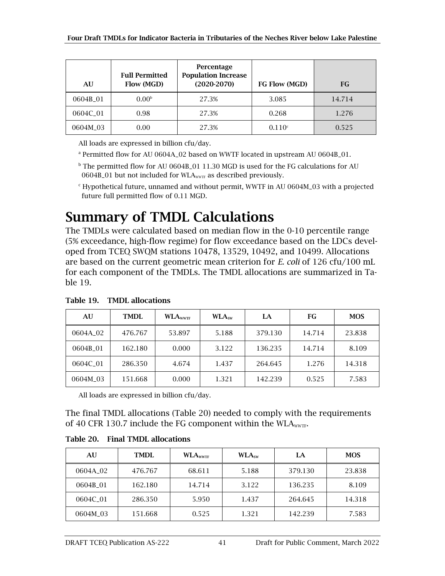| AU       | <b>Full Permitted</b><br>Flow (MGD) | Percentage<br><b>Population Increase</b><br>$(2020-2070)$ | FG Flow (MGD)      | FG     |
|----------|-------------------------------------|-----------------------------------------------------------|--------------------|--------|
| 0604B 01 | 0.00 <sup>b</sup>                   | 27.3%                                                     | 3.085              | 14.714 |
| 0604C_01 | 0.98                                | 27.3%                                                     | 0.268              | 1.276  |
| 0604M_03 | 0.00                                | 27.3%                                                     | 0.110 <sup>c</sup> | 0.525  |

All loads are expressed in billion cfu/day.

<sup>a</sup> Permitted flow for AU 0604A<sub>-</sub>02 based on WWTF located in upstream AU 0604B<sub>-</sub>01.

<sup>b</sup> The permitted flow for AU 0604B\_01 11.30 MGD is used for the FG calculations for AU 0604B\_01 but not included for WLA<sub>WWTF</sub> as described previously.

 $c$  Hypothetical future, unnamed and without permit, WWTF in AU 0604M\_03 with a projected future full permitted flow of 0.11 MGD.

#### <span id="page-46-0"></span>Summary of TMDL Calculations

The TMDLs were calculated based on median flow in the 0-10 percentile range (5% exceedance, high-flow regime) for flow exceedance based on the LDCs developed from TCEQ SWQM stations 10478, 13529, 10492, and 10499. Allocations are based on the current geometric mean criterion for *E. coli* of 126 cfu/100 mL for each component of the TMDLs. The TMDL allocations are summarized in [Ta](#page-46-1)[ble 19.](#page-46-1)

| AU       | TMDI.   | <b>WLA</b> wwTF | WLA <sub>sw</sub> | LA      | FG     | <b>MOS</b> |
|----------|---------|-----------------|-------------------|---------|--------|------------|
| 0604A 02 | 476.767 | 53.897          | 5.188             | 379.130 | 14.714 | 23.838     |
| 0604B 01 | 162.180 | 0.000           | 3.122             | 136.235 | 14.714 | 8.109      |
| 0604C 01 | 286.350 | 4.674           | 1.437             | 264.645 | 1.276  | 14.318     |
| 0604M_03 | 151.668 | 0.000           | 1.321             | 142.239 | 0.525  | 7.583      |

<span id="page-46-1"></span>Table 19. TMDL allocations

All loads are expressed in billion cfu/day.

The final TMDL allocations [\(Table 20\)](#page-46-2) needed to comply with the requirements of 40 CFR 130.7 include the FG component within the WLA<sub>wwTF</sub>.

<span id="page-46-2"></span>

|  |  |  | Table 20. Final TMDL allocations |
|--|--|--|----------------------------------|
|--|--|--|----------------------------------|

| AU                   | <b>TMDL</b> | <b>WLA</b> <sub>wwTF</sub> | WLA <sub>sw</sub> | LA      | <b>MOS</b> |
|----------------------|-------------|----------------------------|-------------------|---------|------------|
| 0604A <sub>-02</sub> | 476.767     | 68.611                     | 5.188             | 379.130 | 23.838     |
| 0604B 01             | 162.180     | 14.714                     | 3.122             | 136.235 | 8.109      |
| 0604C 01             | 286.350     | 5.950                      | 1.437             | 264.645 | 14.318     |
| 0604M_03             | 151.668     | 0.525                      | 1.321             | 142.239 | 7.583      |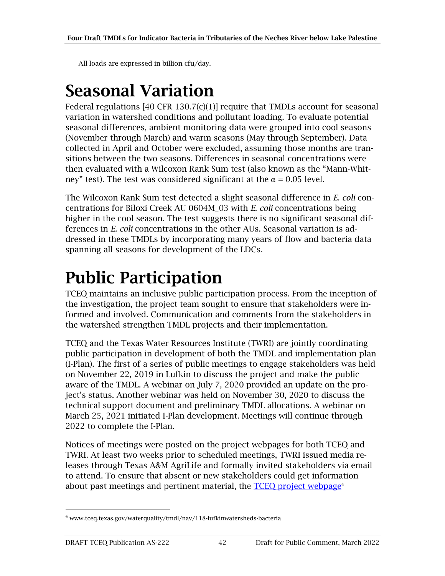All loads are expressed in billion cfu/day.

## <span id="page-47-0"></span>Seasonal Variation

Federal regulations  $[40 \text{ CFR } 130.7 \text{ (c)}(1)]$  require that TMDLs account for seasonal variation in watershed conditions and pollutant loading. To evaluate potential seasonal differences, ambient monitoring data were grouped into cool seasons (November through March) and warm seasons (May through September). Data collected in April and October were excluded, assuming those months are transitions between the two seasons. Differences in seasonal concentrations were then evaluated with a Wilcoxon Rank Sum test (also known as the "Mann-Whitney" test). The test was considered significant at the  $\alpha = 0.05$  level.

The Wilcoxon Rank Sum test detected a slight seasonal difference in *E. coli* concentrations for Biloxi Creek AU 0604M\_03 with *E. coli* concentrations being higher in the cool season. The test suggests there is no significant seasonal differences in *E. coli* concentrations in the other AUs. Seasonal variation is addressed in these TMDLs by incorporating many years of flow and bacteria data spanning all seasons for development of the LDCs.

## <span id="page-47-1"></span>Public Participation

TCEQ maintains an inclusive public participation process. From the inception of the investigation, the project team sought to ensure that stakeholders were informed and involved. Communication and comments from the stakeholders in the watershed strengthen TMDL projects and their implementation.

TCEQ and the Texas Water Resources Institute (TWRI) are jointly coordinating public participation in development of both the TMDL and implementation plan (I-Plan). The first of a series of public meetings to engage stakeholders was held on November 22, 2019 in Lufkin to discuss the project and make the public aware of the TMDL. A webinar on July 7, 2020 provided an update on the project's status. Another webinar was held on November 30, 2020 to discuss the technical support document and preliminary TMDL allocations. A webinar on March 25, 2021 initiated I-Plan development. Meetings will continue through 2022 to complete the I-Plan.

Notices of meetings were posted on the project webpages for both TCEQ and TWRI. At least two weeks prior to scheduled meetings, TWRI issued media releases through Texas A&M AgriLife and formally invited stakeholders via email to attend. To ensure that absent or new stakeholders could get information about past meetings and pertinent material, the TCEO project webpage<sup>4</sup>

<sup>4</sup> www.tceq.texas.gov/waterquality/tmdl/nav/118-lufkinwatersheds-bacteria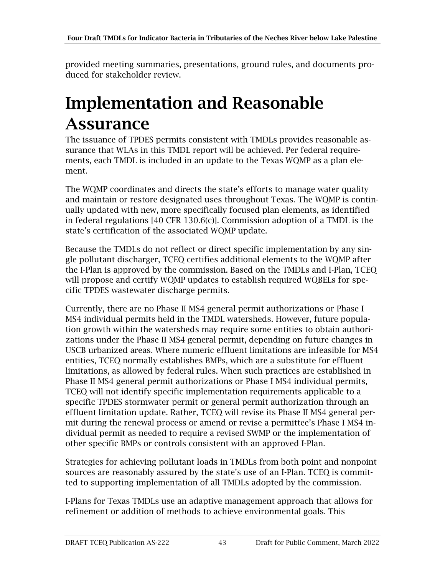provided meeting summaries, presentations, ground rules, and documents produced for stakeholder review.

## <span id="page-48-0"></span>Implementation and Reasonable Assurance

The issuance of TPDES permits consistent with TMDLs provides reasonable assurance that WLAs in this TMDL report will be achieved. Per federal requirements, each TMDL is included in an update to the Texas WQMP as a plan element.

The WQMP coordinates and directs the state's efforts to manage water quality and maintain or restore designated uses throughout Texas. The WQMP is continually updated with new, more specifically focused plan elements, as identified in federal regulations [40 CFR 130.6(c)]. Commission adoption of a TMDL is the state's certification of the associated WQMP update.

Because the TMDLs do not reflect or direct specific implementation by any single pollutant discharger, TCEQ certifies additional elements to the WQMP after the I-Plan is approved by the commission. Based on the TMDLs and I-Plan, TCEQ will propose and certify WQMP updates to establish required WQBELs for specific TPDES wastewater discharge permits.

Currently, there are no Phase II MS4 general permit authorizations or Phase I MS4 individual permits held in the TMDL watersheds. However, future population growth within the watersheds may require some entities to obtain authorizations under the Phase II MS4 general permit, depending on future changes in USCB urbanized areas. Where numeric effluent limitations are infeasible for MS4 entities, TCEQ normally establishes BMPs, which are a substitute for effluent limitations, as allowed by federal rules. When such practices are established in Phase II MS4 general permit authorizations or Phase I MS4 individual permits, TCEQ will not identify specific implementation requirements applicable to a specific TPDES stormwater permit or general permit authorization through an effluent limitation update. Rather, TCEQ will revise its Phase II MS4 general permit during the renewal process or amend or revise a permittee's Phase I MS4 individual permit as needed to require a revised SWMP or the implementation of other specific BMPs or controls consistent with an approved I-Plan.

Strategies for achieving pollutant loads in TMDLs from both point and nonpoint sources are reasonably assured by the state's use of an I-Plan. TCEQ is committed to supporting implementation of all TMDLs adopted by the commission.

I-Plans for Texas TMDLs use an adaptive management approach that allows for refinement or addition of methods to achieve environmental goals. This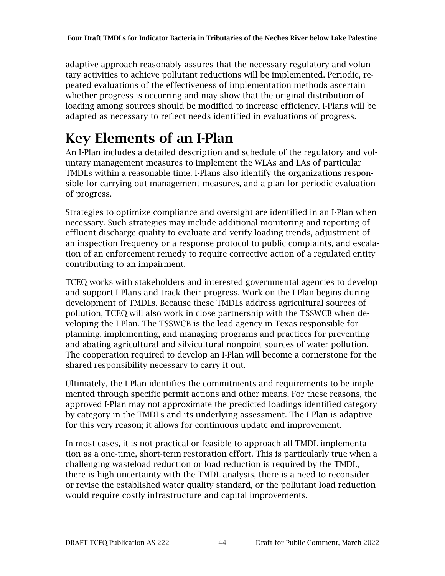adaptive approach reasonably assures that the necessary regulatory and voluntary activities to achieve pollutant reductions will be implemented. Periodic, repeated evaluations of the effectiveness of implementation methods ascertain whether progress is occurring and may show that the original distribution of loading among sources should be modified to increase efficiency. I-Plans will be adapted as necessary to reflect needs identified in evaluations of progress.

### <span id="page-49-0"></span>Key Elements of an I-Plan

An I-Plan includes a detailed description and schedule of the regulatory and voluntary management measures to implement the WLAs and LAs of particular TMDLs within a reasonable time. I-Plans also identify the organizations responsible for carrying out management measures, and a plan for periodic evaluation of progress.

Strategies to optimize compliance and oversight are identified in an I-Plan when necessary. Such strategies may include additional monitoring and reporting of effluent discharge quality to evaluate and verify loading trends, adjustment of an inspection frequency or a response protocol to public complaints, and escalation of an enforcement remedy to require corrective action of a regulated entity contributing to an impairment.

TCEQ works with stakeholders and interested governmental agencies to develop and support I-Plans and track their progress. Work on the I-Plan begins during development of TMDLs. Because these TMDLs address agricultural sources of pollution, TCEQ will also work in close partnership with the TSSWCB when developing the I-Plan. The TSSWCB is the lead agency in Texas responsible for planning, implementing, and managing programs and practices for preventing and abating agricultural and silvicultural nonpoint sources of water pollution. The cooperation required to develop an I-Plan will become a cornerstone for the shared responsibility necessary to carry it out.

Ultimately, the I-Plan identifies the commitments and requirements to be implemented through specific permit actions and other means. For these reasons, the approved I-Plan may not approximate the predicted loadings identified category by category in the TMDLs and its underlying assessment. The I-Plan is adaptive for this very reason; it allows for continuous update and improvement.

In most cases, it is not practical or feasible to approach all TMDL implementation as a one-time, short-term restoration effort. This is particularly true when a challenging wasteload reduction or load reduction is required by the TMDL, there is high uncertainty with the TMDL analysis, there is a need to reconsider or revise the established water quality standard, or the pollutant load reduction would require costly infrastructure and capital improvements.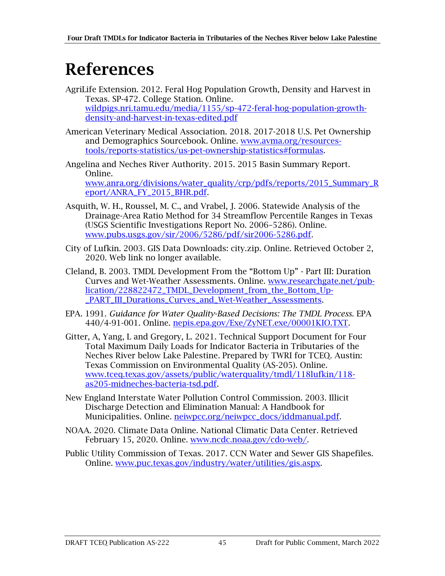## <span id="page-50-0"></span>References

- AgriLife Extension. 2012. Feral Hog Population Growth, Density and Harvest in Texas*.* SP-472. College Station. Online. [wildpigs.nri.tamu.edu/media/1155/sp-472-feral-hog-population-growth](https://wildpigs.nri.tamu.edu/media/1155/sp-472-feral-hog-population-growth-density-and-harvest-in-texas-edited.pdf)[density-and-harvest-in-texas-edited.pdf](https://wildpigs.nri.tamu.edu/media/1155/sp-472-feral-hog-population-growth-density-and-harvest-in-texas-edited.pdf)
- American Veterinary Medical Association. 2018. 2017-2018 U.S. Pet Ownership and Demographics Sourcebook. Online. [www.avma.org/resources](http://www.avma.org/resources-tools/reports-statistics/us-pet-ownership-statistics#formulas)[tools/reports-statistics/us-pet-ownership-statistics#formulas.](http://www.avma.org/resources-tools/reports-statistics/us-pet-ownership-statistics#formulas)
- Angelina and Neches River Authority. 2015. 2015 Basin Summary Report*.*  Online. [www.anra.org/divisions/water\\_quality/crp/pdfs/reports/2015\\_Summary\\_R](http://www.anra.org/divisions/water_quality/crp/pdfs/reports/2015_Summary_Report/ANRA_FY_2015_BHR.pdf) [eport/ANRA\\_FY\\_2015\\_BHR.pdf.](http://www.anra.org/divisions/water_quality/crp/pdfs/reports/2015_Summary_Report/ANRA_FY_2015_BHR.pdf)
- Asquith, W. H., Roussel, M. C., and Vrabel, J. 2006. Statewide Analysis of the Drainage-Area Ratio Method for 34 Streamflow Percentile Ranges in Texas (USGS Scientific Investigations Report No. 2006–5286). Online. [www.pubs.usgs.gov/sir/2006/5286/pdf/sir2006-5286.pdf.](https://pubs.usgs.gov/sir/2006/5286/pdf/sir2006-5286.pdf)
- City of Lufkin. 2003. GIS Data Downloads: city.zip. Online. Retrieved October 2, 2020. Web link no longer available.
- Cleland, B. 2003. TMDL Development From the "Bottom Up" Part III: Duration Curves and Wet-Weather Assessments*.* Online. [www.researchgate.net/pub](http://www.researchgate.net/publication/228822472_TMDL_Development_from_the_Bottom_Up-_PART_III_Durations_Curves_and_Wet-Weather_Assessments)[lication/228822472\\_TMDL\\_Development\\_from\\_the\\_Bottom\\_Up-](http://www.researchgate.net/publication/228822472_TMDL_Development_from_the_Bottom_Up-_PART_III_Durations_Curves_and_Wet-Weather_Assessments) [\\_PART\\_III\\_Durations\\_Curves\\_and\\_Wet-Weather\\_Assessments.](http://www.researchgate.net/publication/228822472_TMDL_Development_from_the_Bottom_Up-_PART_III_Durations_Curves_and_Wet-Weather_Assessments)
- EPA. 1991. *Guidance for Water Quality-Based Decisions: The TMDL Process*. EPA 440/4-91-001. Online. [nepis.epa.gov/Exe/ZyNET.exe/00001KIO.TXT.](https://nepis.epa.gov/Exe/ZyNET.exe/00001KIO.TXT?ZyActionD=ZyDocument&Client=EPA&Index=1991+Thru+1994&Docs=&Query=&Time=&EndTime=&SearchMethod=1&TocRestrict=n&Toc=&TocEntry=&QField=&QFieldYear=&QFieldMonth=&QFieldDay=&IntQFieldOp=0&ExtQFieldOp=0&XmlQuery=&File=D%3A%5Czyfiles%5CIndex%20Data%5C91thru94%5CTxt%5C00000000%5C00001KIO.txt&User=ANONYMOUS&Password=anonymous&SortMethod=h%7C-&MaximumDocuments=1&FuzzyDegree=0&ImageQuality=r75g8/r75g8/x150y150g16/i425&Display=hpfr&DefSeekPage=x&SearchBack=ZyActionL&Back=ZyActionS&BackDesc=Results%20page&MaximumPages=1&ZyEntry=1&SeekPage=x&ZyPURL)
- Gitter, A, Yang, L and Gregory, L. 2021. Technical Support Document for Four Total Maximum Daily Loads for Indicator Bacteria in Tributaries of the Neches River below Lake Palestine*.* Prepared by TWRI for TCEQ. Austin: Texas Commission on Environmental Quality (AS-205). Online. [www.tceq.texas.gov/assets/public/waterquality/tmdl/118lufkin/118](http://www.tceq.texas.gov/assets/public/waterquality/tmdl/118lufkin/118-as205-midneches-bacteria-tsd.pdf) [as205-midneches-bacteria-tsd.pdf.](http://www.tceq.texas.gov/assets/public/waterquality/tmdl/118lufkin/118-as205-midneches-bacteria-tsd.pdf)
- New England Interstate Water Pollution Control Commission. 2003. Illicit Discharge Detection and Elimination Manual: A Handbook for Municipalities. Online. [neiwpcc.org/neiwpcc\\_docs/iddmanual.pdf.](http://neiwpcc.org/neiwpcc_docs/iddmanual.pdf)
- NOAA. 2020. Climate Data Online. National Climatic Data Center. Retrieved February 15, 2020. Online. [www.ncdc.noaa.gov/cdo-web/.](http://www.ncdc.noaa.gov/cdo-web/)
- Public Utility Commission of Texas. 2017. CCN Water and Sewer GIS Shapefiles. Online. [www.puc.texas.gov/industry/water/utilities/gis.aspx.](http://www.puc.texas.gov/industry/water/utilities/gis.aspx)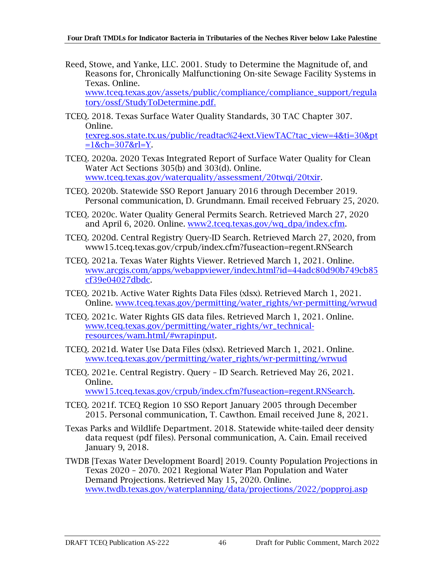- Reed, Stowe, and Yanke, LLC. 2001. Study to Determine the Magnitude of, and Reasons for, Chronically Malfunctioning On-site Sewage Facility Systems in Texas*.* Online. [www.tceq.texas.gov/assets/public/compliance/compliance\\_support/regula](http://www.tceq.texas.gov/assets/public/compliance/compliance_support/regulatory/ossf/StudyToDetermine.pdf) [tory/ossf/StudyToDetermine.pdf](http://www.tceq.texas.gov/assets/public/compliance/compliance_support/regulatory/ossf/StudyToDetermine.pdf).
- TCEQ. 2018. Texas Surface Water Quality Standards, 30 TAC Chapter 307. Online. [texreg.sos.state.tx.us/public/readtac%24ext.ViewTAC?tac\\_view=4&ti=30&pt](http://texreg.sos.state.tx.us/public/readtac%24ext.ViewTAC?tac_view=4&ti=30&pt=1&ch=307&rl=Y)  $=1$ &ch=307&rl=Y
- TCEQ. 2020a. 2020 Texas Integrated Report of Surface Water Quality for Clean Water Act Sections 305(b) and 303(d). Online. [www.tceq.texas.gov/waterquality/assessment/20twqi/20txir.](http://www.tceq.texas.gov/waterquality/assessment/20twqi/20txir)
- TCEQ. 2020b. Statewide SSO Report January 2016 through December 2019. Personal communication, D. Grundmann. Email received February 25, 2020.
- TCEQ. 2020c. Water Quality General Permits Search. Retrieved March 27, 2020 and April 6, 2020. Online. [www2.tceq.texas.gov/wq\\_dpa/index.cfm.](https://www2.tceq.texas.gov/wq_dpa/index.cfm)
- TCEQ. 2020d. Central Registry Query-ID Search. Retrieved March 27, 2020, from www15.tceq.texas.gov/crpub/index.cfm?fuseaction=regent.RNSearch
- TCEQ. 2021a. Texas Water Rights Viewer. Retrieved March 1, 2021. Online. [www.arcgis.com/apps/webappviewer/index.html?id=44adc80d90b749cb85](https://www.arcgis.com/apps/webappviewer/index.html?id=44adc80d90b749cb85cf39e04027dbdc) [cf39e04027dbdc.](https://www.arcgis.com/apps/webappviewer/index.html?id=44adc80d90b749cb85cf39e04027dbdc)
- TCEQ. 2021b. Active Water Rights Data Files (xlsx). Retrieved March 1, 2021. Online. [www.tceq.texas.gov/permitting/water\\_rights/wr-permitting/wrwud](https://www.tceq.texas.gov/permitting/water_rights/wr-permitting/wrwud)
- TCEQ. 2021c. Water Rights GIS data files. Retrieved March 1, 2021. Online. [www.tceq.texas.gov/permitting/water\\_rights/wr\\_technical](https://www.tceq.texas.gov/permitting/water_rights/wr_technical-resources/wam.html/#wrapinput)[resources/wam.html/#wrapinput.](https://www.tceq.texas.gov/permitting/water_rights/wr_technical-resources/wam.html/#wrapinput)
- TCEQ. 2021d. Water Use Data Files (xlsx). Retrieved March 1, 2021. Online. [www.tceq.texas.gov/permitting/water\\_rights/wr-permitting/wrwud](https://www.tceq.texas.gov/permitting/water_rights/wr-permitting/wrwud)
- TCEQ. 2021e. Central Registry*.* Query ID Search. Retrieved May 26, 2021. Online.

[www15.tceq.texas.gov/crpub/index.cfm?fuseaction=regent.RNSearch.](https://www15.tceq.texas.gov/crpub/index.cfm?fuseaction=regent.RNSearch)

- TCEQ. 2021f. TCEQ Region 10 SSO Report January 2005 through December 2015. Personal communication, T. Cawthon. Email received June 8, 2021.
- Texas Parks and Wildlife Department. 2018. Statewide white-tailed deer density data request (pdf files). Personal communication, A. Cain. Email received January 9, 2018.
- TWDB [Texas Water Development Board] 2019. County Population Projections in Texas 2020 – 2070. 2021 Regional Water Plan Population and Water Demand Projections. Retrieved May 15, 2020. Online. [www.twdb.texas.gov/waterplanning/data/projections/2022/popproj.asp](http://www.twdb.texas.gov/waterplanning/data/projections/2022/popproj.asp)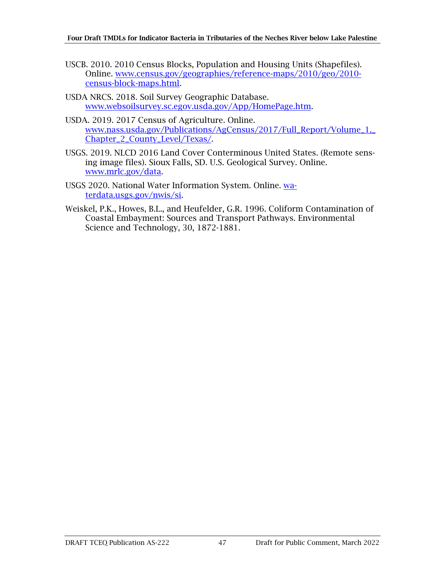- USCB. 2010. 2010 Census Blocks, Population and Housing Units (Shapefiles). Online. [www.census.gov/geographies/reference-maps/2010/geo/2010](http://www.census.gov/geographies/reference-maps/2010/geo/2010-census-block-maps.html) [census-block-maps.html.](http://www.census.gov/geographies/reference-maps/2010/geo/2010-census-block-maps.html)
- USDA NRCS. 2018. Soil Survey Geographic Database. [www.websoilsurvey.sc.egov.usda.gov/App/HomePage.htm.](https://websoilsurvey.sc.egov.usda.gov/App/HomePage.htm)
- USDA. 2019. 2017 Census of Agriculture*.* Online. [www.nass.usda.gov/Publications/AgCensus/2017/Full\\_Report/Volume\\_1,\\_](http://www.nass.usda.gov/Publications/AgCensus/2017/Full_Report/Volume_1,_Chapter_2_County_Level/Texas/) [Chapter\\_2\\_County\\_Level/Texas/.](http://www.nass.usda.gov/Publications/AgCensus/2017/Full_Report/Volume_1,_Chapter_2_County_Level/Texas/)
- USGS. 2019. NLCD 2016 Land Cover Conterminous United States. (Remote sensing image files)*.* Sioux Falls, SD. U.S. Geological Survey. Online. [www.mrlc.gov/data.](http://www.mrlc.gov/data)
- USGS 2020. National Water Information System. Online. [wa](https://waterdata.usgs.gov/nwis/si)[terdata.usgs.gov/nwis/si.](https://waterdata.usgs.gov/nwis/si)
- Weiskel, P.K., Howes, B.L., and Heufelder, G.R. 1996. Coliform Contamination of Coastal Embayment: Sources and Transport Pathways. Environmental Science and Technology, 30, 1872-1881.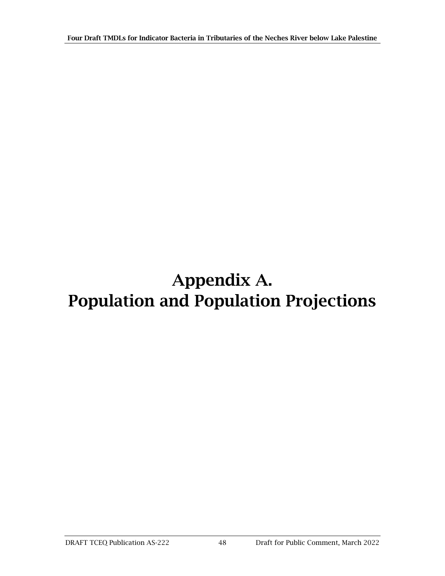## <span id="page-53-0"></span>Appendix A. Population and Population Projections